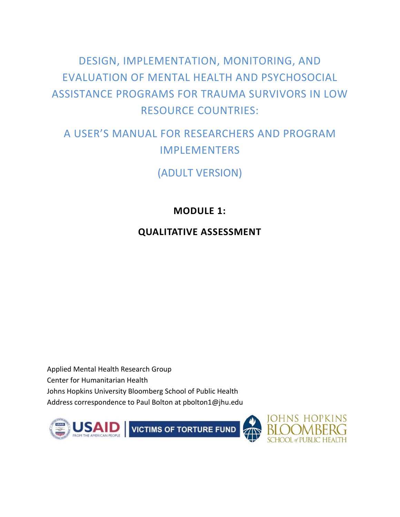# DESIGN, IMPLEMENTATION, MONITORING, AND EVALUATION OF MENTAL HEALTH AND PSYCHOSOCIAL ASSISTANCE PROGRAMS FOR TRAUMA SURVIVORS IN LOW RESOURCE COUNTRIES:

# A USER'S MANUAL FOR RESEARCHERS AND PROGRAM IMPLEMENTERS

(ADULT VERSION)

# **MODULE 1:**

# **QUALITATIVE ASSESSMENT**

Applied Mental Health Research Group Center for Humanitarian Health Johns Hopkins University Bloomberg School of Public Health Address correspondence to Paul Bolton at pbolton1@jhu.edu





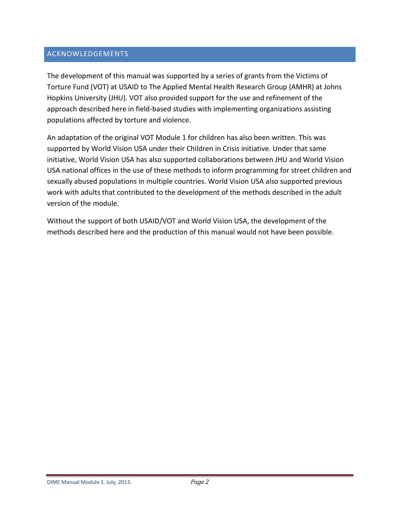## <span id="page-1-0"></span>ACKNOWLEDGEMENTS

The development of this manual was supported by a series of grants from the Victims of Torture Fund (VOT) at USAID to The Applied Mental Health Research Group (AMHR) at Johns Hopkins University (JHU). VOT also provided support for the use and refinement of the approach described here in field-based studies with implementing organizations assisting populations affected by torture and violence.

An adaptation of the original VOT Module 1 for children has also been written. This was supported by World Vision USA under their Children in Crisis initiative. Under that same initiative, World Vision USA has also supported collaborations between JHU and World Vision USA national offices in the use of these methods to inform programming for street children and sexually abused populations in multiple countries. World Vision USA also supported previous work with adults that contributed to the development of the methods described in the adult version of the module.

Without the support of both USAID/VOT and World Vision USA, the development of the methods described here and the production of this manual would not have been possible.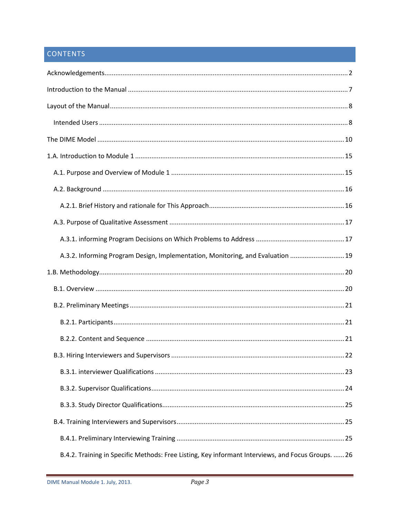# CONTENTS

| A.3.2. Informing Program Design, Implementation, Monitoring, and Evaluation  19 |
|---------------------------------------------------------------------------------|
|                                                                                 |
|                                                                                 |
|                                                                                 |
|                                                                                 |
|                                                                                 |
|                                                                                 |
|                                                                                 |
|                                                                                 |
|                                                                                 |
|                                                                                 |
|                                                                                 |
|                                                                                 |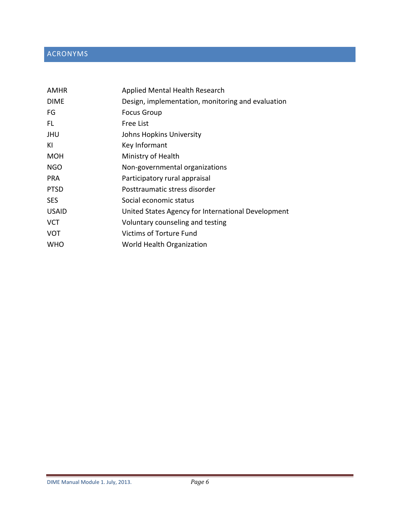# ACRONYMS

| <b>AMHR</b>  | <b>Applied Mental Health Research</b>              |
|--------------|----------------------------------------------------|
| <b>DIME</b>  | Design, implementation, monitoring and evaluation  |
| FG           | <b>Focus Group</b>                                 |
| FL.          | Free List                                          |
| JHU          | Johns Hopkins University                           |
| KI           | Key Informant                                      |
| <b>MOH</b>   | Ministry of Health                                 |
| <b>NGO</b>   | Non-governmental organizations                     |
| <b>PRA</b>   | Participatory rural appraisal                      |
| <b>PTSD</b>  | Posttraumatic stress disorder                      |
| <b>SES</b>   | Social economic status                             |
| <b>USAID</b> | United States Agency for International Development |
| <b>VCT</b>   | Voluntary counseling and testing                   |
| <b>VOT</b>   | <b>Victims of Torture Fund</b>                     |
| <b>WHO</b>   | World Health Organization                          |
|              |                                                    |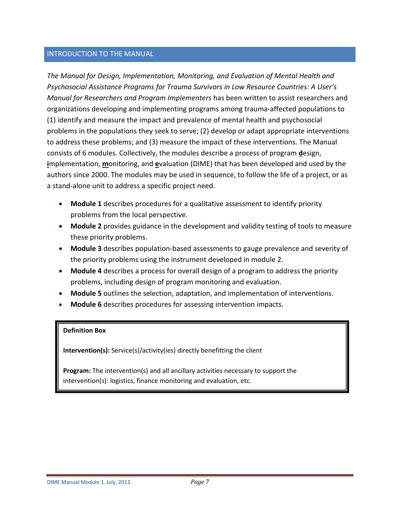### <span id="page-6-0"></span>INTRODUCTION TO THE MANUAL

*The Manual for Design, Implementation, Monitoring, and Evaluation of Mental Health and Psychosocial Assistance Programs for Trauma Survivors in Low Resource Countries: A User's Manual for Researchers and Program Implementers* has been written to assist researchers and organizations developing and implementing programs among trauma-affected populations to (1) identify and measure the impact and prevalence of mental health and psychosocial problems in the populations they seek to serve; (2) develop or adapt appropriate interventions to address these problems; and (3) measure the impact of these interventions. The Manual consists of 6 modules. Collectively, the modules describe a process of program **d**esign, **i**mplementation, **m**onitoring, and **e**valuation (DIME) that has been developed and used by the authors since 2000. The modules may be used in sequence, to follow the life of a project, or as a stand-alone unit to address a specific project need.

- **Module 1** describes procedures for a qualitative assessment to identify priority problems from the local perspective.
- **Module 2** provides guidance in the development and validity testing of tools to measure these priority problems.
- **Module 3** describes population-based assessments to gauge prevalence and severity of the priority problems using the instrument developed in module 2.
- **Module 4** describes a process for overall design of a program to address the priority problems, including design of program monitoring and evaluation.
- **Module 5** outlines the selection, adaptation, and implementation of interventions.
- **Module 6** describes procedures for assessing intervention impacts.

#### **Definition Box**

**Intervention(s):** Service(s)/activity(ies) directly benefitting the client

**Program:** The intervention(s) and all ancillary activities necessary to support the intervention(s): logistics, finance monitoring and evaluation, etc.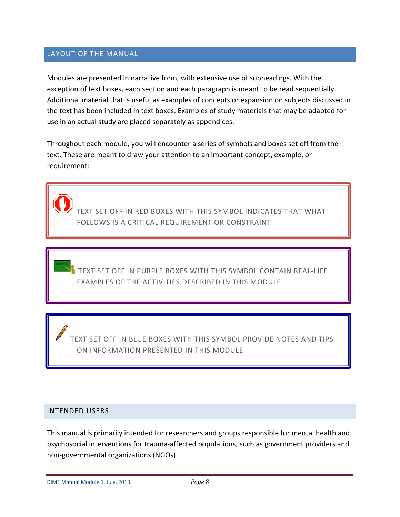### <span id="page-7-0"></span>LAYOUT OF THE MANUAL

Modules are presented in narrative form, with extensive use of subheadings. With the exception of text boxes, each section and each paragraph is meant to be read sequentially. Additional material that is useful as examples of concepts or expansion on subjects discussed in the text has been included in text boxes. Examples of study materials that may be adapted for use in an actual study are placed separately as appendices.

Throughout each module, you will encounter a series of symbols and boxes set off from the text. These are meant to draw your attention to an important concept, example, or requirement:

TEXT SET OFF IN RED BOXES WITH THIS SYMBOL INDICATES THAT WHAT FOLLOWS IS A CRITICAL REQUIREMENT OR CONSTRAINT

TEXT SET OFF IN PURPLE BOXES WITH THIS SYMBOL CONTAIN REAL-LIFE EXAMPLES OF THE ACTIVITIES DESCRIBED IN THIS MODULE

TEXT SET OFF IN BLUE BOXES WITH THIS SYMBOL PROVIDE NOTES AND TIPS ON INFORMATION PRESENTED IN THIS MODULE

#### <span id="page-7-1"></span>INTENDED USERS

This manual is primarily intended for researchers and groups responsible for mental health and psychosocial interventions for trauma-affected populations, such as government providers and non-governmental organizations (NGOs).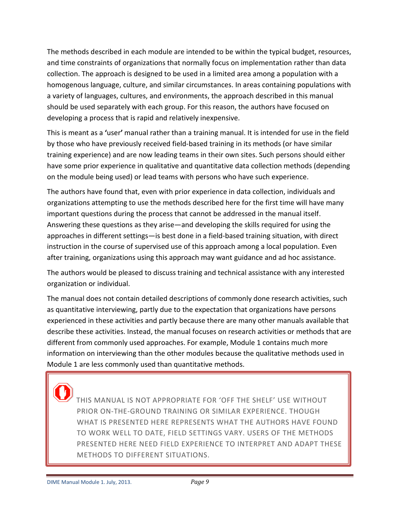The methods described in each module are intended to be within the typical budget, resources, and time constraints of organizations that normally focus on implementation rather than data collection. The approach is designed to be used in a limited area among a population with a homogenous language, culture, and similar circumstances. In areas containing populations with a variety of languages, cultures, and environments, the approach described in this manual should be used separately with each group. For this reason, the authors have focused on developing a process that is rapid and relatively inexpensive.

This is meant as a **'**user**'** manual rather than a training manual. It is intended for use in the field by those who have previously received field-based training in its methods (or have similar training experience) and are now leading teams in their own sites. Such persons should either have some prior experience in qualitative and quantitative data collection methods (depending on the module being used) or lead teams with persons who have such experience.

The authors have found that, even with prior experience in data collection, individuals and organizations attempting to use the methods described here for the first time will have many important questions during the process that cannot be addressed in the manual itself. Answering these questions as they arise―and developing the skills required for using the approaches in different settings―is best done in a field-based training situation, with direct instruction in the course of supervised use of this approach among a local population. Even after training, organizations using this approach may want guidance and ad hoc assistance.

The authors would be pleased to discuss training and technical assistance with any interested organization or individual.

The manual does not contain detailed descriptions of commonly done research activities, such as quantitative interviewing, partly due to the expectation that organizations have persons experienced in these activities and partly because there are many other manuals available that describe these activities. Instead, the manual focuses on research activities or methods that are different from commonly used approaches. For example, Module 1 contains much more information on interviewing than the other modules because the qualitative methods used in Module 1 are less commonly used than quantitative methods.

THIS MANUAL IS NOT APPROPRIATE FOR 'OFF THE SHELF' USE WITHOUT PRIOR ON-THE-GROUND TRAINING OR SIMILAR EXPERIENCE. THOUGH WHAT IS PRESENTED HERE REPRESENTS WHAT THE AUTHORS HAVE FOUND TO WORK WELL TO DATE, FIELD SETTINGS VARY. USERS OF THE METHODS PRESENTED HERE NEED FIELD EXPERIENCE TO INTERPRET AND ADAPT THESE METHODS TO DIFFERENT SITUATIONS.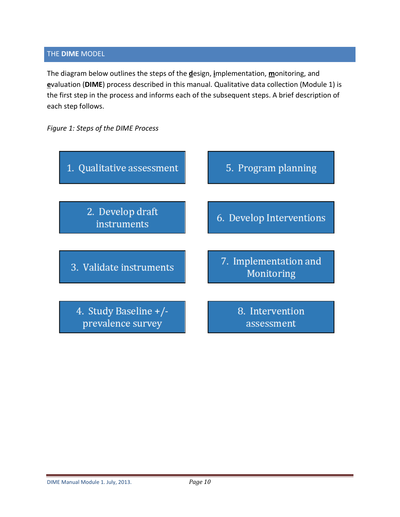### <span id="page-9-0"></span>THE **DIME** MODEL

The diagram below outlines the steps of the **d**esign, **i**mplementation, **m**onitoring, and **e**valuation (**DIME**) process described in this manual. Qualitative data collection (Module 1) is the first step in the process and informs each of the subsequent steps. A brief description of each step follows.

*Figure 1: Steps of the DIME Process*

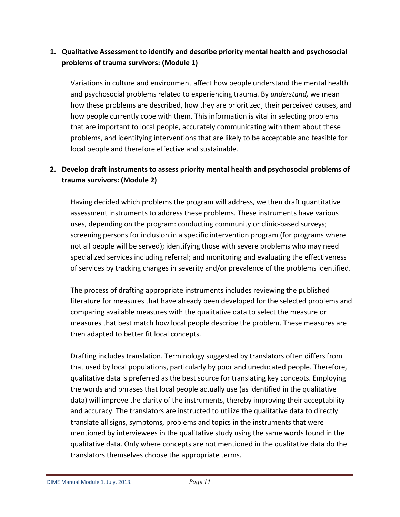# **1. Qualitative Assessment to identify and describe priority mental health and psychosocial problems of trauma survivors: (Module 1)**

Variations in culture and environment affect how people understand the mental health and psychosocial problems related to experiencing trauma. By *understand,* we mean how these problems are described, how they are prioritized, their perceived causes, and how people currently cope with them. This information is vital in selecting problems that are important to local people, accurately communicating with them about these problems, and identifying interventions that are likely to be acceptable and feasible for local people and therefore effective and sustainable.

# **2. Develop draft instruments to assess priority mental health and psychosocial problems of trauma survivors: (Module 2)**

Having decided which problems the program will address, we then draft quantitative assessment instruments to address these problems. These instruments have various uses, depending on the program: conducting community or clinic-based surveys; screening persons for inclusion in a specific intervention program (for programs where not all people will be served); identifying those with severe problems who may need specialized services including referral; and monitoring and evaluating the effectiveness of services by tracking changes in severity and/or prevalence of the problems identified.

The process of drafting appropriate instruments includes reviewing the published literature for measures that have already been developed for the selected problems and comparing available measures with the qualitative data to select the measure or measures that best match how local people describe the problem. These measures are then adapted to better fit local concepts.

Drafting includes translation. Terminology suggested by translators often differs from that used by local populations, particularly by poor and uneducated people. Therefore, qualitative data is preferred as the best source for translating key concepts. Employing the words and phrases that local people actually use (as identified in the qualitative data) will improve the clarity of the instruments, thereby improving their acceptability and accuracy. The translators are instructed to utilize the qualitative data to directly translate all signs, symptoms, problems and topics in the instruments that were mentioned by interviewees in the qualitative study using the same words found in the qualitative data. Only where concepts are not mentioned in the qualitative data do the translators themselves choose the appropriate terms.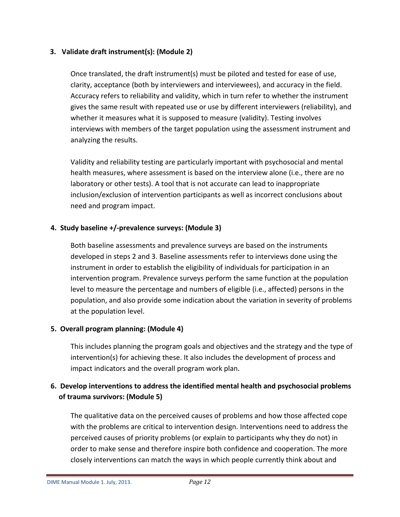## **3. Validate draft instrument(s): (Module 2)**

Once translated, the draft instrument(s) must be piloted and tested for ease of use, clarity, acceptance (both by interviewers and interviewees), and accuracy in the field. Accuracy refers to reliability and validity, which in turn refer to whether the instrument gives the same result with repeated use or use by different interviewers (reliability), and whether it measures what it is supposed to measure (validity). Testing involves interviews with members of the target population using the assessment instrument and analyzing the results.

Validity and reliability testing are particularly important with psychosocial and mental health measures, where assessment is based on the interview alone (i.e., there are no laboratory or other tests). A tool that is not accurate can lead to inappropriate inclusion/exclusion of intervention participants as well as incorrect conclusions about need and program impact.

## **4. Study baseline +/-prevalence surveys: (Module 3)**

Both baseline assessments and prevalence surveys are based on the instruments developed in steps 2 and 3. Baseline assessments refer to interviews done using the instrument in order to establish the eligibility of individuals for participation in an intervention program. Prevalence surveys perform the same function at the population level to measure the percentage and numbers of eligible (i.e., affected) persons in the population, and also provide some indication about the variation in severity of problems at the population level.

## **5. Overall program planning: (Module 4)**

This includes planning the program goals and objectives and the strategy and the type of intervention(s) for achieving these. It also includes the development of process and impact indicators and the overall program work plan**.** 

# **6. Develop interventions to address the identified mental health and psychosocial problems of trauma survivors: (Module 5)**

The qualitative data on the perceived causes of problems and how those affected cope with the problems are critical to intervention design. Interventions need to address the perceived causes of priority problems (or explain to participants why they do not) in order to make sense and therefore inspire both confidence and cooperation. The more closely interventions can match the ways in which people currently think about and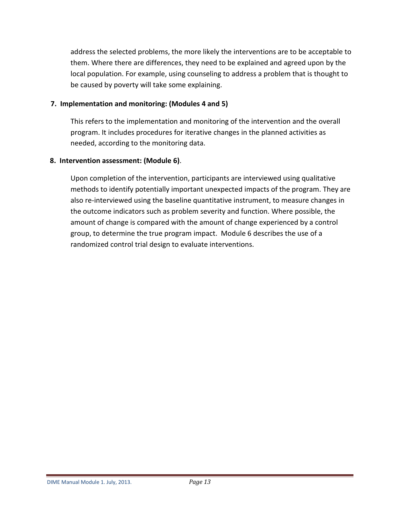address the selected problems, the more likely the interventions are to be acceptable to them. Where there are differences, they need to be explained and agreed upon by the local population. For example, using counseling to address a problem that is thought to be caused by poverty will take some explaining.

## **7. Implementation and monitoring: (Modules 4 and 5)**

This refers to the implementation and monitoring of the intervention and the overall program. It includes procedures for iterative changes in the planned activities as needed, according to the monitoring data.

# **8. Intervention assessment: (Module 6)**.

Upon completion of the intervention, participants are interviewed using qualitative methods to identify potentially important unexpected impacts of the program. They are also re-interviewed using the baseline quantitative instrument, to measure changes in the outcome indicators such as problem severity and function. Where possible, the amount of change is compared with the amount of change experienced by a control group, to determine the true program impact. Module 6 describes the use of a randomized control trial design to evaluate interventions.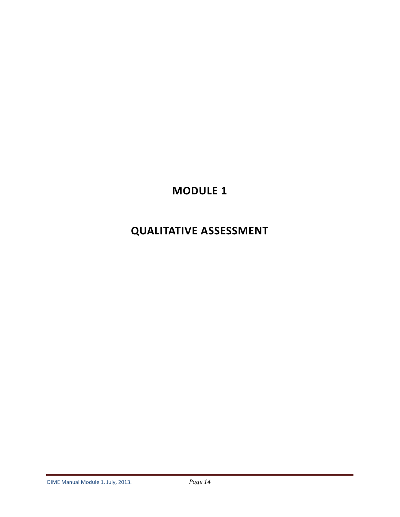# **MODULE 1**

# **QUALITATIVE ASSESSMENT**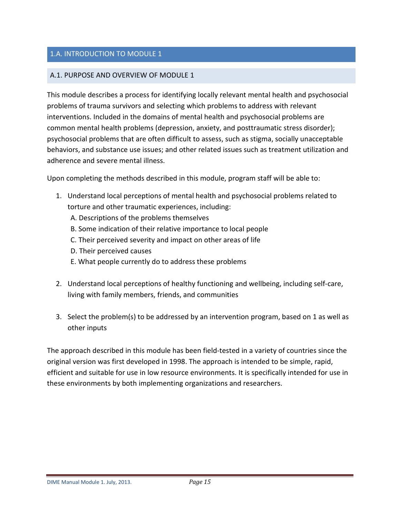# <span id="page-14-0"></span>1.A. INTRODUCTION TO MODULE 1

## <span id="page-14-1"></span>A.1. PURPOSE AND OVERVIEW OF MODULE 1

This module describes a process for identifying locally relevant mental health and psychosocial problems of trauma survivors and selecting which problems to address with relevant interventions. Included in the domains of mental health and psychosocial problems are common mental health problems (depression, anxiety, and posttraumatic stress disorder); psychosocial problems that are often difficult to assess, such as stigma, socially unacceptable behaviors, and substance use issues; and other related issues such as treatment utilization and adherence and severe mental illness.

Upon completing the methods described in this module, program staff will be able to:

- 1. Understand local perceptions of mental health and psychosocial problems related to torture and other traumatic experiences, including:
	- A. Descriptions of the problems themselves
	- B. Some indication of their relative importance to local people
	- C. Their perceived severity and impact on other areas of life
	- D. Their perceived causes
	- E. What people currently do to address these problems
- 2. Understand local perceptions of healthy functioning and wellbeing, including self-care, living with family members, friends, and communities
- 3. Select the problem(s) to be addressed by an intervention program, based on 1 as well as other inputs

The approach described in this module has been field-tested in a variety of countries since the original version was first developed in 1998. The approach is intended to be simple, rapid, efficient and suitable for use in low resource environments. It is specifically intended for use in these environments by both implementing organizations and researchers.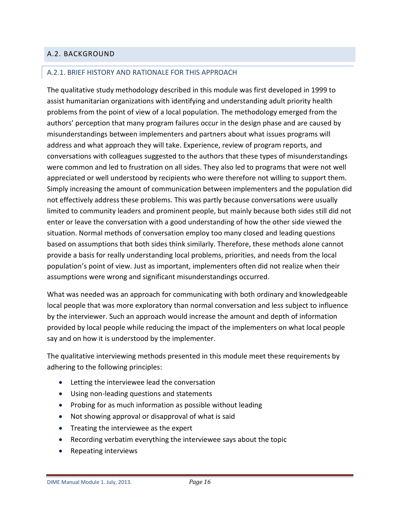# <span id="page-15-0"></span>A.2. BACKGROUND

### <span id="page-15-1"></span>A.2.1. BRIEF HISTORY AND RATIONALE FOR THIS APPROACH

The qualitative study methodology described in this module was first developed in 1999 to assist humanitarian organizations with identifying and understanding adult priority health problems from the point of view of a local population. The methodology emerged from the authors' perception that many program failures occur in the design phase and are caused by misunderstandings between implementers and partners about what issues programs will address and what approach they will take. Experience, review of program reports, and conversations with colleagues suggested to the authors that these types of misunderstandings were common and led to frustration on all sides. They also led to programs that were not well appreciated or well understood by recipients who were therefore not willing to support them. Simply increasing the amount of communication between implementers and the population did not effectively address these problems. This was partly because conversations were usually limited to community leaders and prominent people, but mainly because both sides still did not enter or leave the conversation with a good understanding of how the other side viewed the situation. Normal methods of conversation employ too many closed and leading questions based on assumptions that both sides think similarly. Therefore, these methods alone cannot provide a basis for really understanding local problems, priorities, and needs from the local population's point of view. Just as important, implementers often did not realize when their assumptions were wrong and significant misunderstandings occurred.

What was needed was an approach for communicating with both ordinary and knowledgeable local people that was more exploratory than normal conversation and less subject to influence by the interviewer. Such an approach would increase the amount and depth of information provided by local people while reducing the impact of the implementers on what local people say and on how it is understood by the implementer.

The qualitative interviewing methods presented in this module meet these requirements by adhering to the following principles:

- Letting the interviewee lead the conversation
- Using non-leading questions and statements
- Probing for as much information as possible without leading
- Not showing approval or disapproval of what is said
- Treating the interviewee as the expert
- Recording verbatim everything the interviewee says about the topic
- Repeating interviews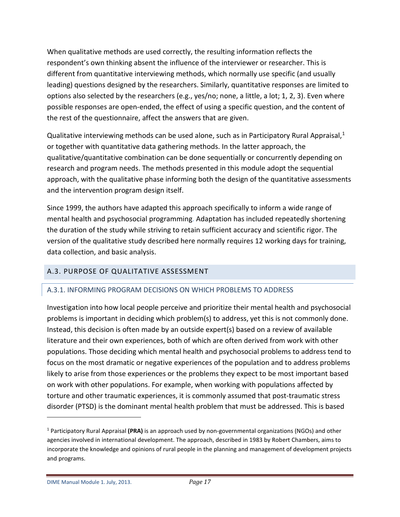When qualitative methods are used correctly, the resulting information reflects the respondent's own thinking absent the influence of the interviewer or researcher. This is different from quantitative interviewing methods, which normally use specific (and usually leading) questions designed by the researchers. Similarly, quantitative responses are limited to options also selected by the researchers (e.g., yes/no; none, a little, a lot; 1, 2, 3). Even where possible responses are open-ended, the effect of using a specific question, and the content of the rest of the questionnaire, affect the answers that are given.

Qualitative interviewing methods can be used alone, such as in Participatory Rural Appraisal,<sup>[1](#page-16-2)</sup> or together with quantitative data gathering methods. In the latter approach, the qualitative/quantitative combination can be done sequentially or concurrently depending on research and program needs. The methods presented in this module adopt the sequential approach, with the qualitative phase informing both the design of the quantitative assessments and the intervention program design itself.

Since 1999, the authors have adapted this approach specifically to inform a wide range of mental health and psychosocial programming. Adaptation has included repeatedly shortening the duration of the study while striving to retain sufficient accuracy and scientific rigor. The version of the qualitative study described here normally requires 12 working days for training, data collection, and basic analysis.

# <span id="page-16-0"></span>A.3. PURPOSE OF QUALITATIVE ASSESSMENT

# <span id="page-16-1"></span>A.3.1. INFORMING PROGRAM DECISIONS ON WHICH PROBLEMS TO ADDRESS

Investigation into how local people perceive and prioritize their mental health and psychosocial problems is important in deciding which problem(s) to address, yet this is not commonly done. Instead, this decision is often made by an outside expert(s) based on a review of available literature and their own experiences, both of which are often derived from work with other populations. Those deciding which mental health and psychosocial problems to address tend to focus on the most dramatic or negative experiences of the population and to address problems likely to arise from those experiences or the problems they expect to be most important based on work with other populations. For example, when working with populations affected by torture and other traumatic experiences, it is commonly assumed that post-traumatic stress disorder (PTSD) is the dominant mental health problem that must be addressed. This is based

 $\overline{a}$ 

<span id="page-16-2"></span><sup>1</sup> Participatory Rural Appraisal **(PRA)** is an approach used by non-governmental organizations (NGOs) and other agencies involved in international development. The approach, described in 1983 by Robert Chambers, aims to incorporate the knowledge and opinions of rural people in the planning and management of development projects and programs.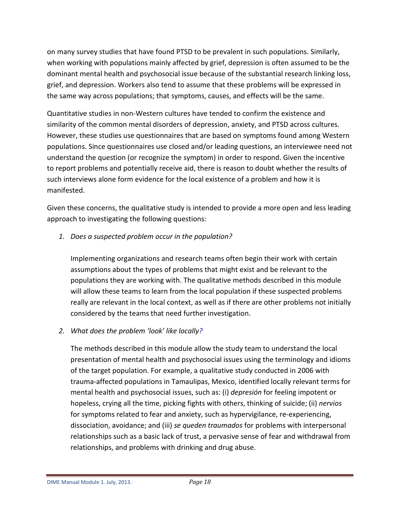on many survey studies that have found PTSD to be prevalent in such populations. Similarly, when working with populations mainly affected by grief, depression is often assumed to be the dominant mental health and psychosocial issue because of the substantial research linking loss, grief, and depression. Workers also tend to assume that these problems will be expressed in the same way across populations; that symptoms, causes, and effects will be the same.

Quantitative studies in non-Western cultures have tended to confirm the existence and similarity of the common mental disorders of depression, anxiety, and PTSD across cultures. However, these studies use questionnaires that are based on symptoms found among Western populations. Since questionnaires use closed and/or leading questions, an interviewee need not understand the question (or recognize the symptom) in order to respond. Given the incentive to report problems and potentially receive aid, there is reason to doubt whether the results of such interviews alone form evidence for the local existence of a problem and how it is manifested.

Given these concerns, the qualitative study is intended to provide a more open and less leading approach to investigating the following questions:

*1. Does a suspected problem occur in the population?* 

Implementing organizations and research teams often begin their work with certain assumptions about the types of problems that might exist and be relevant to the populations they are working with. The qualitative methods described in this module will allow these teams to learn from the local population if these suspected problems really are relevant in the local context, as well as if there are other problems not initially considered by the teams that need further investigation.

*2. What does the problem 'look' like locally?*

The methods described in this module allow the study team to understand the local presentation of mental health and psychosocial issues using the terminology and idioms of the target population. For example, a qualitative study conducted in 2006 with trauma-affected populations in Tamaulipas, Mexico, identified locally relevant terms for mental health and psychosocial issues, such as: (i) *depresión* for feeling impotent or hopeless, crying all the time, picking fights with others, thinking of suicide; (ii) *nervios*  for symptoms related to fear and anxiety, such as hypervigilance, re-experiencing, dissociation, avoidance; and (iii) *se queden traumados* for problems with interpersonal relationships such as a basic lack of trust, a pervasive sense of fear and withdrawal from relationships, and problems with drinking and drug abuse.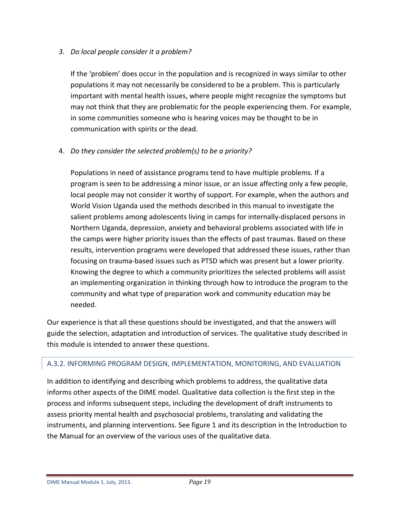# *3. Do local people consider it a problem?*

If the 'problem' does occur in the population and is recognized in ways similar to other populations it may not necessarily be considered to be a problem. This is particularly important with mental health issues, where people might recognize the symptoms but may not think that they are problematic for the people experiencing them. For example, in some communities someone who is hearing voices may be thought to be in communication with spirits or the dead.

# 4. *Do they consider the selected problem(s) to be a priority?*

Populations in need of assistance programs tend to have multiple problems. If a program is seen to be addressing a minor issue, or an issue affecting only a few people, local people may not consider it worthy of support. For example, when the authors and World Vision Uganda used the methods described in this manual to investigate the salient problems among adolescents living in camps for internally-displaced persons in Northern Uganda, depression, anxiety and behavioral problems associated with life in the camps were higher priority issues than the effects of past traumas. Based on these results, intervention programs were developed that addressed these issues, rather than focusing on trauma-based issues such as PTSD which was present but a lower priority. Knowing the degree to which a community prioritizes the selected problems will assist an implementing organization in thinking through how to introduce the program to the community and what type of preparation work and community education may be needed.

Our experience is that all these questions should be investigated, and that the answers will guide the selection, adaptation and introduction of services. The qualitative study described in this module is intended to answer these questions.

## <span id="page-18-0"></span>A.3.2. INFORMING PROGRAM DESIGN, IMPLEMENTATION, MONITORING, AND EVALUATION

In addition to identifying and describing which problems to address, the qualitative data informs other aspects of the DIME model. Qualitative data collection is the first step in the process and informs subsequent steps, including the development of draft instruments to assess priority mental health and psychosocial problems, translating and validating the instruments, and planning interventions. See figure 1 and its description in the Introduction to the Manual for an overview of the various uses of the qualitative data.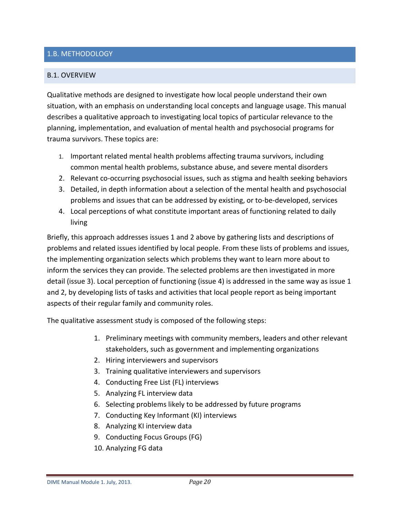## <span id="page-19-0"></span>1.B. METHODOLOGY

### <span id="page-19-1"></span>B.1. OVERVIEW

Qualitative methods are designed to investigate how local people understand their own situation, with an emphasis on understanding local concepts and language usage. This manual describes a qualitative approach to investigating local topics of particular relevance to the planning, implementation, and evaluation of mental health and psychosocial programs for trauma survivors. These topics are:

- 1. Important related mental health problems affecting trauma survivors, including common mental health problems, substance abuse, and severe mental disorders
- 2. Relevant co-occurring psychosocial issues, such as stigma and health seeking behaviors
- 3. Detailed, in depth information about a selection of the mental health and psychosocial problems and issues that can be addressed by existing, or to-be-developed, services
- 4. Local perceptions of what constitute important areas of functioning related to daily living

Briefly, this approach addresses issues 1 and 2 above by gathering lists and descriptions of problems and related issues identified by local people. From these lists of problems and issues, the implementing organization selects which problems they want to learn more about to inform the services they can provide. The selected problems are then investigated in more detail (issue 3). Local perception of functioning (issue 4) is addressed in the same way as issue 1 and 2, by developing lists of tasks and activities that local people report as being important aspects of their regular family and community roles.

The qualitative assessment study is composed of the following steps:

- 1. Preliminary meetings with community members, leaders and other relevant stakeholders, such as government and implementing organizations
- 2. Hiring interviewers and supervisors
- 3. Training qualitative interviewers and supervisors
- 4. Conducting Free List (FL) interviews
- 5. Analyzing FL interview data
- 6. Selecting problems likely to be addressed by future programs
- 7. Conducting Key Informant (KI) interviews
- 8. Analyzing KI interview data
- 9. Conducting Focus Groups (FG)
- 10. Analyzing FG data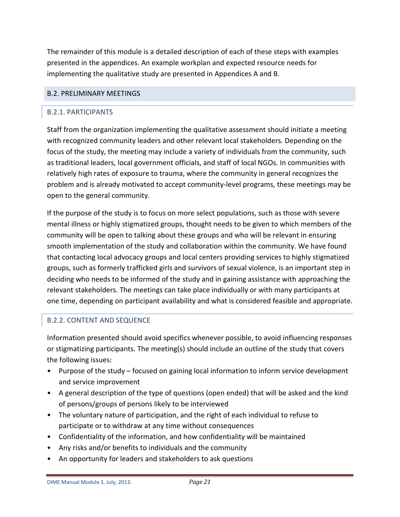The remainder of this module is a detailed description of each of these steps with examples presented in the appendices. An example workplan and expected resource needs for implementing the qualitative study are presented in Appendices A and B.

### <span id="page-20-0"></span>B.2. PRELIMINARY MEETINGS

### <span id="page-20-1"></span>B.2.1. PARTICIPANTS

Staff from the organization implementing the qualitative assessment should initiate a meeting with recognized community leaders and other relevant local stakeholders. Depending on the focus of the study, the meeting may include a variety of individuals from the community, such as traditional leaders, local government officials, and staff of local NGOs. In communities with relatively high rates of exposure to trauma, where the community in general recognizes the problem and is already motivated to accept community-level programs, these meetings may be open to the general community.

If the purpose of the study is to focus on more select populations, such as those with severe mental illness or highly stigmatized groups, thought needs to be given to which members of the community will be open to talking about these groups and who will be relevant in ensuring smooth implementation of the study and collaboration within the community. We have found that contacting local advocacy groups and local centers providing services to highly stigmatized groups, such as formerly trafficked girls and survivors of sexual violence, is an important step in deciding who needs to be informed of the study and in gaining assistance with approaching the relevant stakeholders. The meetings can take place individually or with many participants at one time, depending on participant availability and what is considered feasible and appropriate.

## <span id="page-20-2"></span>B.2.2. CONTENT AND SEQUENCE

Information presented should avoid specifics whenever possible, to avoid influencing responses or stigmatizing participants. The meeting(s) should include an outline of the study that covers the following issues:

- Purpose of the study focused on gaining local information to inform service development and service improvement
- A general description of the type of questions (open ended) that will be asked and the kind of persons/groups of persons likely to be interviewed
- The voluntary nature of participation, and the right of each individual to refuse to participate or to withdraw at any time without consequences
- Confidentiality of the information, and how confidentiality will be maintained
- Any risks and/or benefits to individuals and the community
- An opportunity for leaders and stakeholders to ask questions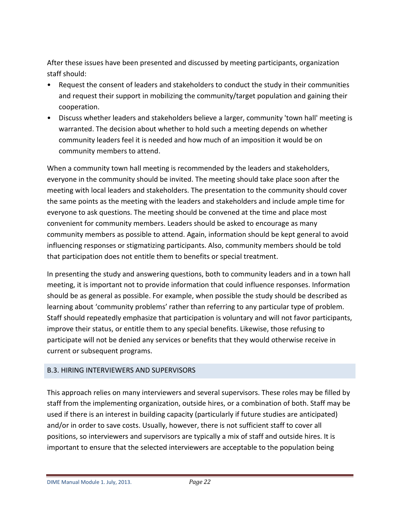After these issues have been presented and discussed by meeting participants, organization staff should:

- Request the consent of leaders and stakeholders to conduct the study in their communities and request their support in mobilizing the community/target population and gaining their cooperation.
- Discuss whether leaders and stakeholders believe a larger, community 'town hall' meeting is warranted. The decision about whether to hold such a meeting depends on whether community leaders feel it is needed and how much of an imposition it would be on community members to attend.

When a community town hall meeting is recommended by the leaders and stakeholders, everyone in the community should be invited. The meeting should take place soon after the meeting with local leaders and stakeholders. The presentation to the community should cover the same points as the meeting with the leaders and stakeholders and include ample time for everyone to ask questions. The meeting should be convened at the time and place most convenient for community members. Leaders should be asked to encourage as many community members as possible to attend. Again, information should be kept general to avoid influencing responses or stigmatizing participants. Also, community members should be told that participation does not entitle them to benefits or special treatment.

In presenting the study and answering questions, both to community leaders and in a town hall meeting, it is important not to provide information that could influence responses. Information should be as general as possible. For example, when possible the study should be described as learning about 'community problems' rather than referring to any particular type of problem. Staff should repeatedly emphasize that participation is voluntary and will not favor participants, improve their status, or entitle them to any special benefits. Likewise, those refusing to participate will not be denied any services or benefits that they would otherwise receive in current or subsequent programs.

## <span id="page-21-0"></span>B.3. HIRING INTERVIEWERS AND SUPERVISORS

This approach relies on many interviewers and several supervisors. These roles may be filled by staff from the implementing organization, outside hires, or a combination of both. Staff may be used if there is an interest in building capacity (particularly if future studies are anticipated) and/or in order to save costs. Usually, however, there is not sufficient staff to cover all positions, so interviewers and supervisors are typically a mix of staff and outside hires. It is important to ensure that the selected interviewers are acceptable to the population being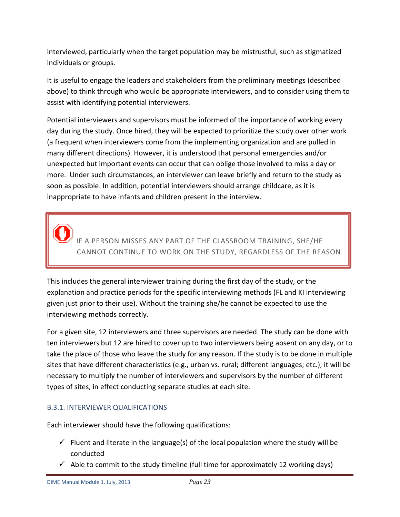interviewed, particularly when the target population may be mistrustful, such as stigmatized individuals or groups.

It is useful to engage the leaders and stakeholders from the preliminary meetings (described above) to think through who would be appropriate interviewers, and to consider using them to assist with identifying potential interviewers.

Potential interviewers and supervisors must be informed of the importance of working every day during the study. Once hired, they will be expected to prioritize the study over other work (a frequent when interviewers come from the implementing organization and are pulled in many different directions). However, it is understood that personal emergencies and/or unexpected but important events can occur that can oblige those involved to miss a day or more. Under such circumstances, an interviewer can leave briefly and return to the study as soon as possible. In addition, potential interviewers should arrange childcare, as it is inappropriate to have infants and children present in the interview.

IF A PERSON MISSES ANY PART OF THE CLASSROOM TRAINING, SHE/HE CANNOT CONTINUE TO WORK ON THE STUDY, REGARDLESS OF THE REASON

This includes the general interviewer training during the first day of the study, or the explanation and practice periods for the specific interviewing methods (FL and KI interviewing given just prior to their use). Without the training she/he cannot be expected to use the interviewing methods correctly.

For a given site, 12 interviewers and three supervisors are needed. The study can be done with ten interviewers but 12 are hired to cover up to two interviewers being absent on any day, or to take the place of those who leave the study for any reason. If the study is to be done in multiple sites that have different characteristics (e.g., urban vs. rural; different languages; etc.), it will be necessary to multiply the number of interviewers and supervisors by the number of different types of sites, in effect conducting separate studies at each site.

# <span id="page-22-0"></span>B.3.1. INTERVIEWER QUALIFICATIONS

Each interviewer should have the following qualifications:

- $\checkmark$  Fluent and literate in the language(s) of the local population where the study will be conducted
- $\checkmark$  Able to commit to the study timeline (full time for approximately 12 working days)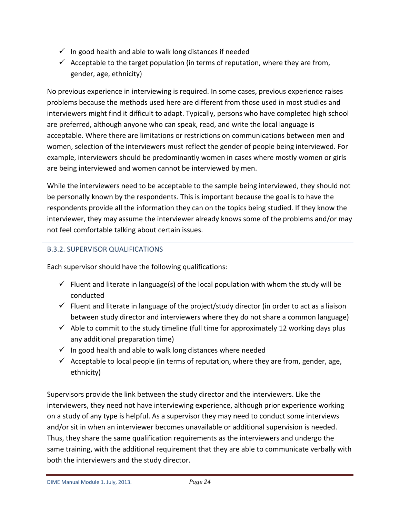- $\checkmark$  In good health and able to walk long distances if needed
- $\checkmark$  Acceptable to the target population (in terms of reputation, where they are from, gender, age, ethnicity)

No previous experience in interviewing is required. In some cases, previous experience raises problems because the methods used here are different from those used in most studies and interviewers might find it difficult to adapt. Typically, persons who have completed high school are preferred, although anyone who can speak, read, and write the local language is acceptable. Where there are limitations or restrictions on communications between men and women, selection of the interviewers must reflect the gender of people being interviewed. For example, interviewers should be predominantly women in cases where mostly women or girls are being interviewed and women cannot be interviewed by men.

While the interviewers need to be acceptable to the sample being interviewed, they should not be personally known by the respondents. This is important because the goal is to have the respondents provide all the information they can on the topics being studied. If they know the interviewer, they may assume the interviewer already knows some of the problems and/or may not feel comfortable talking about certain issues.

# <span id="page-23-0"></span>B.3.2. SUPERVISOR QUALIFICATIONS

Each supervisor should have the following qualifications:

- Fluent and literate in language(s) of the local population with whom the study will be conducted
- $\checkmark$  Fluent and literate in language of the project/study director (in order to act as a liaison between study director and interviewers where they do not share a common language)
- $\checkmark$  Able to commit to the study timeline (full time for approximately 12 working days plus any additional preparation time)
- $\checkmark$  In good health and able to walk long distances where needed
- $\checkmark$  Acceptable to local people (in terms of reputation, where they are from, gender, age, ethnicity)

Supervisors provide the link between the study director and the interviewers. Like the interviewers, they need not have interviewing experience, although prior experience working on a study of any type is helpful. As a supervisor they may need to conduct some interviews and/or sit in when an interviewer becomes unavailable or additional supervision is needed. Thus, they share the same qualification requirements as the interviewers and undergo the same training, with the additional requirement that they are able to communicate verbally with both the interviewers and the study director.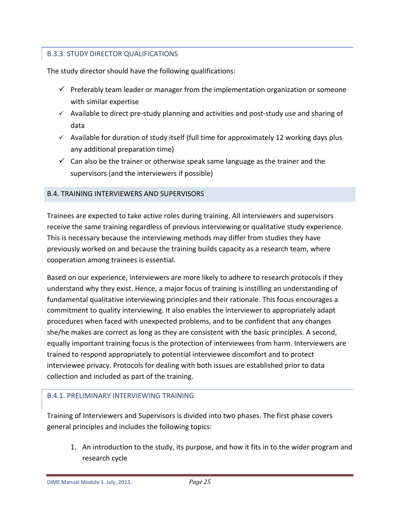# <span id="page-24-0"></span>B.3.3. STUDY DIRECTOR QUALIFICATIONS

The study director should have the following qualifications:

- $\checkmark$  Preferably team leader or manager from the implementation organization or someone with similar expertise
- $\checkmark$  Available to direct pre-study planning and activities and post-study use and sharing of data
- $\checkmark$  Available for duration of study itself (full time for approximately 12 working days plus any additional preparation time)
- $\checkmark$  Can also be the trainer or otherwise speak same language as the trainer and the supervisors (and the interviewers if possible)

# <span id="page-24-1"></span>B.4. TRAINING INTERVIEWERS AND SUPERVISORS

Trainees are expected to take active roles during training. All interviewers and supervisors receive the same training regardless of previous interviewing or qualitative study experience. This is necessary because the interviewing methods may differ from studies they have previously worked on and because the training builds capacity as a research team, where cooperation among trainees is essential.

Based on our experience, interviewers are more likely to adhere to research protocols if they understand why they exist. Hence, a major focus of training is instilling an understanding of fundamental qualitative interviewing principles and their rationale. This focus encourages a commitment to quality interviewing. It also enables the interviewer to appropriately adapt procedures when faced with unexpected problems, and to be confident that any changes she/he makes are correct as long as they are consistent with the basic principles. A second, equally important training focus is the protection of interviewees from harm. Interviewers are trained to respond appropriately to potential interviewee discomfort and to protect interviewee privacy. Protocols for dealing with both issues are established prior to data collection and included as part of the training.

## <span id="page-24-2"></span>B.4.1. PRELIMINARY INTERVIEWING TRAINING

Training of Interviewers and Supervisors is divided into two phases. The first phase covers general principles and includes the following topics:

1. An introduction to the study, its purpose, and how it fits in to the wider program and research cycle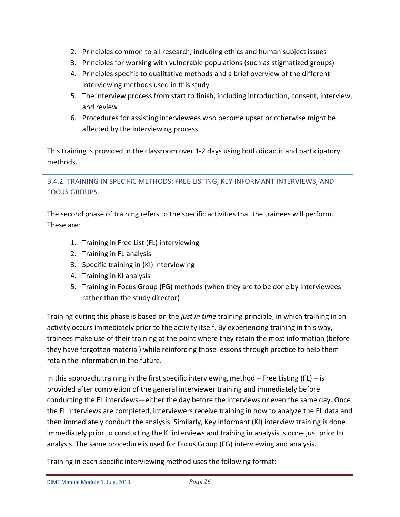- 2. Principles common to all research, including ethics and human subject issues
- 3. Principles for working with vulnerable populations (such as stigmatized groups)
- 4. Principles specific to qualitative methods and a brief overview of the different interviewing methods used in this study
- 5. The interview process from start to finish, including introduction, consent, interview, and review
- 6. Procedures for assisting interviewees who become upset or otherwise might be affected by the interviewing process

This training is provided in the classroom over 1-2 days using both didactic and participatory methods.

<span id="page-25-0"></span>B.4.2. TRAINING IN SPECIFIC METHODS: FREE LISTING, KEY INFORMANT INTERVIEWS, AND FOCUS GROUPS.

The second phase of training refers to the specific activities that the trainees will perform. These are:

- 1. Training in Free List (FL) interviewing
- 2. Training in FL analysis
- 3. Specific training in (KI) interviewing
- 4. Training in KI analysis
- 5. Training in Focus Group (FG) methods (when they are to be done by interviewees rather than the study director)

Training during this phase is based on the *just in time* training principle, in which training in an activity occurs immediately prior to the activity itself. By experiencing training in this way, trainees make use of their training at the point where they retain the most information (before they have forgotten material) while reinforcing those lessons through practice to help them retain the information in the future.

In this approach, training in the first specific interviewing method  $-$  Free Listing (FL)  $-$  is provided after completion of the general interviewer training and immediately before conducting the FL interviews―either the day before the interviews or even the same day. Once the FL interviews are completed, interviewers receive training in how to analyze the FL data and then immediately conduct the analysis. Similarly, Key Informant (KI) interview training is done immediately prior to conducting the KI interviews and training in analysis is done just prior to analysis. The same procedure is used for Focus Group (FG) interviewing and analysis.

Training in each specific interviewing method uses the following format: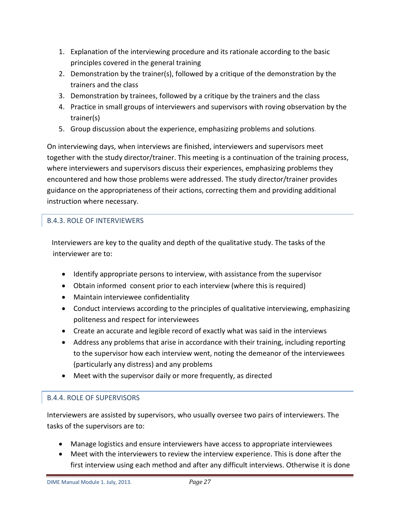- 1. Explanation of the interviewing procedure and its rationale according to the basic principles covered in the general training
- 2. Demonstration by the trainer(s), followed by a critique of the demonstration by the trainers and the class
- 3. Demonstration by trainees, followed by a critique by the trainers and the class
- 4. Practice in small groups of interviewers and supervisors with roving observation by the trainer(s)
- 5. Group discussion about the experience, emphasizing problems and solutions.

On interviewing days, when interviews are finished, interviewers and supervisors meet together with the study director/trainer. This meeting is a continuation of the training process, where interviewers and supervisors discuss their experiences, emphasizing problems they encountered and how those problems were addressed. The study director/trainer provides guidance on the appropriateness of their actions, correcting them and providing additional instruction where necessary.

# <span id="page-26-0"></span>B.4.3. ROLE OF INTERVIEWERS

Interviewers are key to the quality and depth of the qualitative study. The tasks of the interviewer are to:

- Identify appropriate persons to interview, with assistance from the supervisor
- Obtain informed consent prior to each interview (where this is required)
- Maintain interviewee confidentiality
- Conduct interviews according to the principles of qualitative interviewing, emphasizing politeness and respect for interviewees
- Create an accurate and legible record of exactly what was said in the interviews
- Address any problems that arise in accordance with their training, including reporting to the supervisor how each interview went, noting the demeanor of the interviewees (particularly any distress) and any problems
- Meet with the supervisor daily or more frequently, as directed

# <span id="page-26-1"></span>B.4.4. ROLE OF SUPERVISORS

Interviewers are assisted by supervisors, who usually oversee two pairs of interviewers. The tasks of the supervisors are to:

- Manage logistics and ensure interviewers have access to appropriate interviewees
- Meet with the interviewers to review the interview experience. This is done after the first interview using each method and after any difficult interviews. Otherwise it is done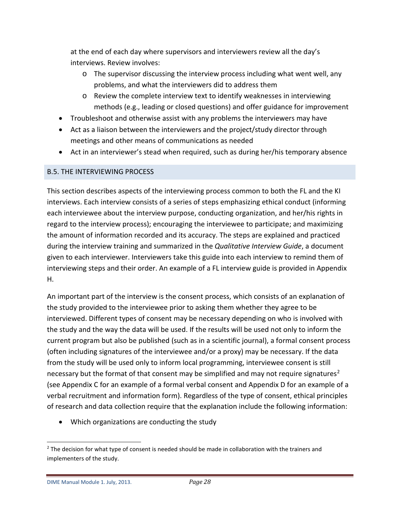at the end of each day where supervisors and interviewers review all the day's interviews. Review involves:

- o The supervisor discussing the interview process including what went well, any problems, and what the interviewers did to address them
- o Review the complete interview text to identify weaknesses in interviewing methods (e.g., leading or closed questions) and offer guidance for improvement
- Troubleshoot and otherwise assist with any problems the interviewers may have
- Act as a liaison between the interviewers and the project/study director through meetings and other means of communications as needed
- Act in an interviewer's stead when required, such as during her/his temporary absence

# <span id="page-27-0"></span>B.5. THE INTERVIEWING PROCESS

This section describes aspects of the interviewing process common to both the FL and the KI interviews. Each interview consists of a series of steps emphasizing ethical conduct (informing each interviewee about the interview purpose, conducting organization, and her/his rights in regard to the interview process); encouraging the interviewee to participate; and maximizing the amount of information recorded and its accuracy. The steps are explained and practiced during the interview training and summarized in the *Qualitative Interview Guide*, a document given to each interviewer. Interviewers take this guide into each interview to remind them of interviewing steps and their order. An example of a FL interview guide is provided in Appendix H.

An important part of the interview is the consent process, which consists of an explanation of the study provided to the interviewee prior to asking them whether they agree to be interviewed. Different types of consent may be necessary depending on who is involved with the study and the way the data will be used. If the results will be used not only to inform the current program but also be published (such as in a scientific journal), a formal consent process (often including signatures of the interviewee and/or a proxy) may be necessary. If the data from the study will be used only to inform local programming, interviewee consent is still necessary but the format of that consent may be simplified and may not require signatures<sup>[2](#page-27-1)</sup> (see Appendix C for an example of a formal verbal consent and Appendix D for an example of a verbal recruitment and information form). Regardless of the type of consent, ethical principles of research and data collection require that the explanation include the following information:

• Which organizations are conducting the study

<span id="page-27-1"></span><sup>&</sup>lt;sup>2</sup> The decision for what type of consent is needed should be made in collaboration with the trainers and implementers of the study.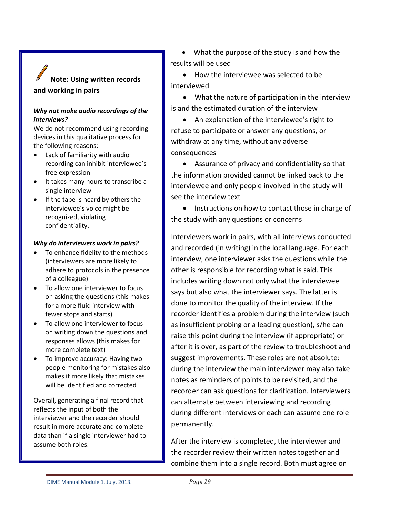# **Note: Using written records and working in pairs**

#### *Why not make audio recordings of the interviews?*

We do not recommend using recording devices in this qualitative process for the following reasons:

- Lack of familiarity with audio recording can inhibit interviewee's free expression
- It takes many hours to transcribe a single interview
- If the tape is heard by others the interviewee's voice might be recognized, violating confidentiality.

#### *Why do interviewers work in pairs?*

- To enhance fidelity to the methods (interviewers are more likely to adhere to protocols in the presence of a colleague)
- To allow one interviewer to focus on asking the questions (this makes for a more fluid interview with fewer stops and starts)
- To allow one interviewer to focus on writing down the questions and responses allows (this makes for more complete text)
- To improve accuracy: Having two people monitoring for mistakes also makes it more likely that mistakes will be identified and corrected

Overall, generating a final record that reflects the input of both the interviewer and the recorder should result in more accurate and complete data than if a single interviewer had to assume both roles.

• What the purpose of the study is and how the results will be used

• How the interviewee was selected to be interviewed

• What the nature of participation in the interview is and the estimated duration of the interview

• An explanation of the interviewee's right to refuse to participate or answer any questions, or withdraw at any time, without any adverse consequences

• Assurance of privacy and confidentiality so that the information provided cannot be linked back to the interviewee and only people involved in the study will see the interview text

• Instructions on how to contact those in charge of the study with any questions or concerns

Interviewers work in pairs, with all interviews conducted and recorded (in writing) in the local language. For each interview, one interviewer asks the questions while the other is responsible for recording what is said. This includes writing down not only what the interviewee says but also what the interviewer says. The latter is done to monitor the quality of the interview. If the recorder identifies a problem during the interview (such as insufficient probing or a leading question), s/he can raise this point during the interview (if appropriate) or after it is over, as part of the review to troubleshoot and suggest improvements. These roles are not absolute: during the interview the main interviewer may also take notes as reminders of points to be revisited, and the recorder can ask questions for clarification. Interviewers can alternate between interviewing and recording during different interviews or each can assume one role permanently.

After the interview is completed, the interviewer and the recorder review their written notes together and combine them into a single record. Both must agree on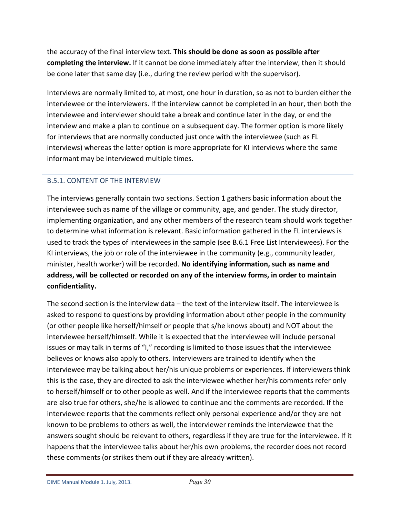the accuracy of the final interview text. **This should be done as soon as possible after completing the interview.** If it cannot be done immediately after the interview, then it should be done later that same day (i.e., during the review period with the supervisor).

Interviews are normally limited to, at most, one hour in duration, so as not to burden either the interviewee or the interviewers. If the interview cannot be completed in an hour, then both the interviewee and interviewer should take a break and continue later in the day, or end the interview and make a plan to continue on a subsequent day. The former option is more likely for interviews that are normally conducted just once with the interviewee (such as FL interviews) whereas the latter option is more appropriate for KI interviews where the same informant may be interviewed multiple times.

# <span id="page-29-0"></span>B.5.1. CONTENT OF THE INTERVIEW

The interviews generally contain two sections. Section 1 gathers basic information about the interviewee such as name of the village or community, age, and gender. The study director, implementing organization, and any other members of the research team should work together to determine what information is relevant. Basic information gathered in the FL interviews is used to track the types of interviewees in the sample (see B.6.1 Free List Interviewees). For the KI interviews, the job or role of the interviewee in the community (e.g., community leader, minister, health worker) will be recorded. **No identifying information, such as name and address, will be collected or recorded on any of the interview forms, in order to maintain confidentiality.** 

The second section is the interview data – the text of the interview itself. The interviewee is asked to respond to questions by providing information about other people in the community (or other people like herself/himself or people that s/he knows about) and NOT about the interviewee herself/himself. While it is expected that the interviewee will include personal issues or may talk in terms of "I," recording is limited to those issues that the interviewee believes or knows also apply to others. Interviewers are trained to identify when the interviewee may be talking about her/his unique problems or experiences. If interviewers think this is the case, they are directed to ask the interviewee whether her/his comments refer only to herself/himself or to other people as well. And if the interviewee reports that the comments are also true for others, she/he is allowed to continue and the comments are recorded. If the interviewee reports that the comments reflect only personal experience and/or they are not known to be problems to others as well, the interviewer reminds the interviewee that the answers sought should be relevant to others, regardless if they are true for the interviewee. If it happens that the interviewee talks about her/his own problems, the recorder does not record these comments (or strikes them out if they are already written).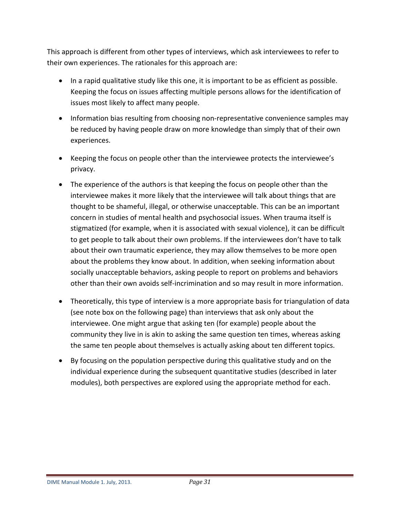This approach is different from other types of interviews, which ask interviewees to refer to their own experiences. The rationales for this approach are:

- In a rapid qualitative study like this one, it is important to be as efficient as possible. Keeping the focus on issues affecting multiple persons allows for the identification of issues most likely to affect many people.
- Information bias resulting from choosing non-representative convenience samples may be reduced by having people draw on more knowledge than simply that of their own experiences.
- Keeping the focus on people other than the interviewee protects the interviewee's privacy.
- The experience of the authors is that keeping the focus on people other than the interviewee makes it more likely that the interviewee will talk about things that are thought to be shameful, illegal, or otherwise unacceptable. This can be an important concern in studies of mental health and psychosocial issues. When trauma itself is stigmatized (for example, when it is associated with sexual violence), it can be difficult to get people to talk about their own problems. If the interviewees don't have to talk about their own traumatic experience, they may allow themselves to be more open about the problems they know about. In addition, when seeking information about socially unacceptable behaviors, asking people to report on problems and behaviors other than their own avoids self-incrimination and so may result in more information.
- Theoretically, this type of interview is a more appropriate basis for triangulation of data (see note box on the following page) than interviews that ask only about the interviewee. One might argue that asking ten (for example) people about the community they live in is akin to asking the same question ten times, whereas asking the same ten people about themselves is actually asking about ten different topics.
- By focusing on the population perspective during this qualitative study and on the individual experience during the subsequent quantitative studies (described in later modules), both perspectives are explored using the appropriate method for each.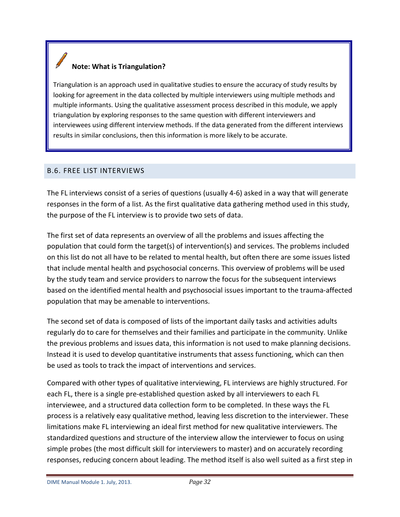# **Note: What is Triangulation?**

Triangulation is an approach used in qualitative studies to ensure the accuracy of study results by looking for agreement in the data collected by multiple interviewers using multiple methods and multiple informants. Using the qualitative assessment process described in this module, we apply triangulation by exploring responses to the same question with different interviewers and interviewees using different interview methods. If the data generated from the different interviews results in similar conclusions, then this information is more likely to be accurate.

### <span id="page-31-0"></span>B.6. FREE LIST INTERVIEWS

The FL interviews consist of a series of questions (usually 4-6) asked in a way that will generate responses in the form of a list. As the first qualitative data gathering method used in this study, the purpose of the FL interview is to provide two sets of data.

The first set of data represents an overview of all the problems and issues affecting the population that could form the target(s) of intervention(s) and services. The problems included on this list do not all have to be related to mental health, but often there are some issues listed that include mental health and psychosocial concerns. This overview of problems will be used by the study team and service providers to narrow the focus for the subsequent interviews based on the identified mental health and psychosocial issues important to the trauma-affected population that may be amenable to interventions.

The second set of data is composed of lists of the important daily tasks and activities adults regularly do to care for themselves and their families and participate in the community. Unlike the previous problems and issues data, this information is not used to make planning decisions. Instead it is used to develop quantitative instruments that assess functioning, which can then be used as tools to track the impact of interventions and services.

Compared with other types of qualitative interviewing, FL interviews are highly structured. For each FL, there is a single pre-established question asked by all interviewers to each FL interviewee, and a structured data collection form to be completed. In these ways the FL process is a relatively easy qualitative method, leaving less discretion to the interviewer. These limitations make FL interviewing an ideal first method for new qualitative interviewers. The standardized questions and structure of the interview allow the interviewer to focus on using simple probes (the most difficult skill for interviewers to master) and on accurately recording responses, reducing concern about leading. The method itself is also well suited as a first step in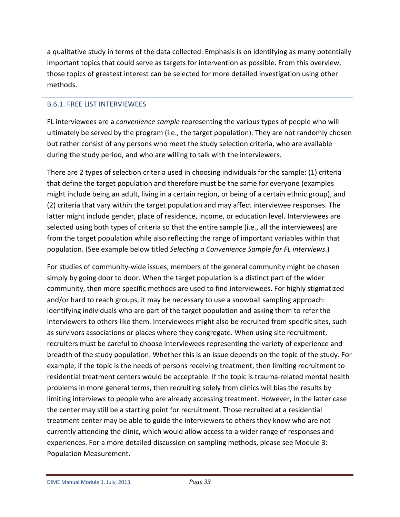a qualitative study in terms of the data collected. Emphasis is on identifying as many potentially important topics that could serve as targets for intervention as possible. From this overview, those topics of greatest interest can be selected for more detailed investigation using other methods.

# <span id="page-32-0"></span>B.6.1. FREE LIST INTERVIEWEES

FL interviewees are a *convenience sample* representing the various types of people who will ultimately be served by the program (i.e., the target population). They are not randomly chosen but rather consist of any persons who meet the study selection criteria, who are available during the study period, and who are willing to talk with the interviewers.

There are 2 types of selection criteria used in choosing individuals for the sample: (1) criteria that define the target population and therefore must be the same for everyone (examples might include being an adult, living in a certain region, or being of a certain ethnic group), and (2) criteria that vary within the target population and may affect interviewee responses. The latter might include gender, place of residence, income, or education level. Interviewees are selected using both types of criteria so that the entire sample (i.e., all the interviewees) are from the target population while also reflecting the range of important variables within that population. (See example below titled *Selecting a Convenience Sample for FL interviews*.)

For studies of community-wide issues, members of the general community might be chosen simply by going door to door. When the target population is a distinct part of the wider community, then more specific methods are used to find interviewees. For highly stigmatized and/or hard to reach groups, it may be necessary to use a snowball sampling approach: identifying individuals who are part of the target population and asking them to refer the interviewers to others like them. Interviewees might also be recruited from specific sites, such as survivors associations or places where they congregate. When using site recruitment, recruiters must be careful to choose interviewees representing the variety of experience and breadth of the study population. Whether this is an issue depends on the topic of the study. For example, if the topic is the needs of persons receiving treatment, then limiting recruitment to residential treatment centers would be acceptable. If the topic is trauma-related mental health problems in more general terms, then recruiting solely from clinics will bias the results by limiting interviews to people who are already accessing treatment. However, in the latter case the center may still be a starting point for recruitment. Those recruited at a residential treatment center may be able to guide the interviewers to others they know who are not currently attending the clinic, which would allow access to a wider range of responses and experiences. For a more detailed discussion on sampling methods, please see Module 3: Population Measurement.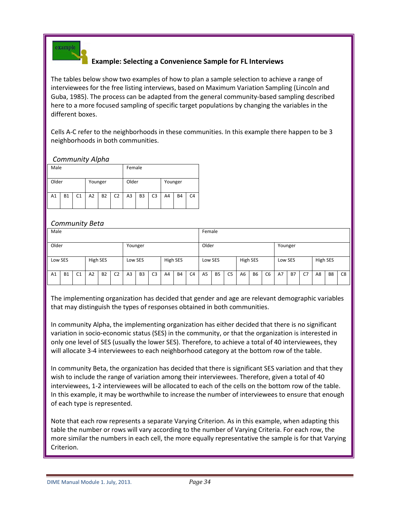

# **Example: Selecting a Convenience Sample for FL Interviews**

The tables below show two examples of how to plan a sample selection to achieve a range of interviewees for the free listing interviews, based on Maximum Variation Sampling (Lincoln and Guba, 1985). The process can be adapted from the general community-based sampling described here to a more focused sampling of specific target populations by changing the variables in the different boxes.

Cells A-C refer to the neighborhoods in these communities. In this example there happen to be 3 neighborhoods in both communities.

*Community Alpha*

| Male  |           |    |         |           |                |                | Female         |                |         |           |                |  |  |  |
|-------|-----------|----|---------|-----------|----------------|----------------|----------------|----------------|---------|-----------|----------------|--|--|--|
| Older |           |    | Younger |           |                | Older          |                |                | Younger |           |                |  |  |  |
| A1    | <b>B1</b> | C1 | A2      | <b>B2</b> | C <sub>2</sub> | A <sub>3</sub> | B <sub>3</sub> | C <sub>3</sub> | A4      | <b>B4</b> | C <sub>4</sub> |  |  |  |

### *Community Beta*

| Male             |           |                |                |           |                  | Female         |                |                |          |           |                |                |           |                |                |           |                |         |           |    |          |                |    |
|------------------|-----------|----------------|----------------|-----------|------------------|----------------|----------------|----------------|----------|-----------|----------------|----------------|-----------|----------------|----------------|-----------|----------------|---------|-----------|----|----------|----------------|----|
| Older<br>Younger |           |                |                |           | Older<br>Younger |                |                |                |          |           |                |                |           |                |                |           |                |         |           |    |          |                |    |
| Low SES          |           |                | High SES       |           |                  | Low SES        |                |                | High SES |           |                | Low SES        |           |                | High SES       |           |                | Low SES |           |    | High SES |                |    |
| A1               | <b>B1</b> | C <sub>1</sub> | A <sub>2</sub> | <b>B2</b> | C <sub>2</sub>   | A <sub>3</sub> | B <sub>3</sub> | C <sub>3</sub> | A4       | <b>B4</b> | C <sub>4</sub> | A <sub>5</sub> | <b>B5</b> | C <sub>5</sub> | A <sub>6</sub> | <b>B6</b> | C <sub>6</sub> | A7      | <b>B7</b> | C7 | A8       | B <sub>8</sub> | C8 |

The implementing organization has decided that gender and age are relevant demographic variables that may distinguish the types of responses obtained in both communities.

In community Alpha, the implementing organization has either decided that there is no significant variation in socio-economic status (SES) in the community, or that the organization is interested in only one level of SES (usually the lower SES). Therefore, to achieve a total of 40 interviewees, they will allocate 3-4 interviewees to each neighborhood category at the bottom row of the table.

In community Beta, the organization has decided that there is significant SES variation and that they wish to include the range of variation among their interviewees. Therefore, given a total of 40 interviewees, 1-2 interviewees will be allocated to each of the cells on the bottom row of the table. In this example, it may be worthwhile to increase the number of interviewees to ensure that enough of each type is represented.

Note that each row represents a separate Varying Criterion. As in this example, when adapting this table the number or rows will vary according to the number of Varying Criteria. For each row, the more similar the numbers in each cell, the more equally representative the sample is for that Varying Criterion.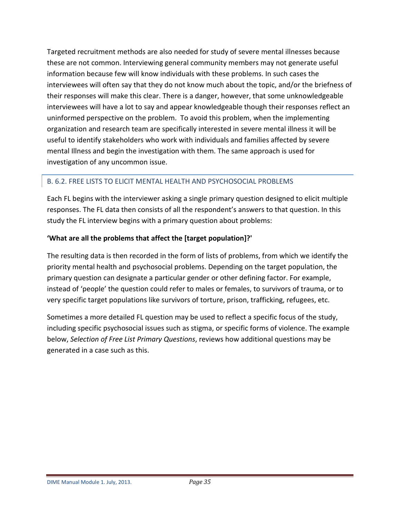Targeted recruitment methods are also needed for study of severe mental illnesses because these are not common. Interviewing general community members may not generate useful information because few will know individuals with these problems. In such cases the interviewees will often say that they do not know much about the topic, and/or the briefness of their responses will make this clear. There is a danger, however, that some unknowledgeable interviewees will have a lot to say and appear knowledgeable though their responses reflect an uninformed perspective on the problem. To avoid this problem, when the implementing organization and research team are specifically interested in severe mental illness it will be useful to identify stakeholders who work with individuals and families affected by severe mental Illness and begin the investigation with them. The same approach is used for investigation of any uncommon issue.

# <span id="page-34-0"></span>B. 6.2. FREE LISTS TO ELICIT MENTAL HEALTH AND PSYCHOSOCIAL PROBLEMS

Each FL begins with the interviewer asking a single primary question designed to elicit multiple responses. The FL data then consists of all the respondent's answers to that question. In this study the FL interview begins with a primary question about problems:

# **'What are all the problems that affect the [target population]?'**

The resulting data is then recorded in the form of lists of problems, from which we identify the priority mental health and psychosocial problems. Depending on the target population, the primary question can designate a particular gender or other defining factor. For example, instead of 'people' the question could refer to males or females, to survivors of trauma, or to very specific target populations like survivors of torture, prison, trafficking, refugees, etc.

Sometimes a more detailed FL question may be used to reflect a specific focus of the study, including specific psychosocial issues such as stigma, or specific forms of violence. The example below, *Selection of Free List Primary Questions*, reviews how additional questions may be generated in a case such as this.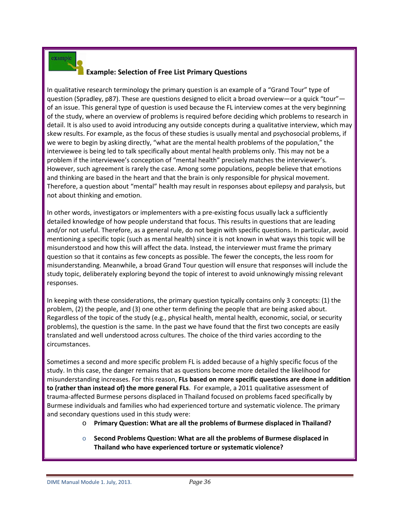# xample

## **Example: Selection of Free List Primary Questions**

In qualitative research terminology the primary question is an example of a "Grand Tour" type of question (Spradley, p87). These are questions designed to elicit a broad overview—or a quick "tour" of an issue. This general type of question is used because the FL interview comes at the very beginning of the study, where an overview of problems is required before deciding which problems to research in detail. It is also used to avoid introducing any outside concepts during a qualitative interview, which may skew results. For example, as the focus of these studies is usually mental and psychosocial problems, if we were to begin by asking directly, "what are the mental health problems of the population," the interviewee is being led to talk specifically about mental health problems only. This may not be a problem if the interviewee's conception of "mental health" precisely matches the interviewer's. However, such agreement is rarely the case. Among some populations, people believe that emotions and thinking are based in the heart and that the brain is only responsible for physical movement. Therefore, a question about "mental" health may result in responses about epilepsy and paralysis, but not about thinking and emotion.

In other words, investigators or implementers with a pre-existing focus usually lack a sufficiently detailed knowledge of how people understand that focus. This results in questions that are leading and/or not useful. Therefore, as a general rule, do not begin with specific questions. In particular, avoid mentioning a specific topic (such as mental health) since it is not known in what ways this topic will be misunderstood and how this will affect the data. Instead, the interviewer must frame the primary question so that it contains as few concepts as possible. The fewer the concepts, the less room for misunderstanding. Meanwhile, a broad Grand Tour question will ensure that responses will include the study topic, deliberately exploring beyond the topic of interest to avoid unknowingly missing relevant responses.

In keeping with these considerations, the primary question typically contains only 3 concepts: (1) the problem, (2) the people, and (3) one other term defining the people that are being asked about. Regardless of the topic of the study (e.g., physical health, mental health, economic, social, or security problems), the question is the same. In the past we have found that the first two concepts are easily translated and well understood across cultures. The choice of the third varies according to the circumstances.

Sometimes a second and more specific problem FL is added because of a highly specific focus of the study. In this case, the danger remains that as questions become more detailed the likelihood for misunderstanding increases. For this reason, **FLs based on more specific questions are done in addition to (rather than instead of) the more general FLs**. For example, a 2011 qualitative assessment of trauma-affected Burmese persons displaced in Thailand focused on problems faced specifically by Burmese individuals and families who had experienced torture and systematic violence. The primary and secondary questions used in this study were:

- o **Primary Question: What are all the problems of Burmese displaced in Thailand?**
- o **Second Problems Question: What are all the problems of Burmese displaced in Thailand who have experienced torture or systematic violence?**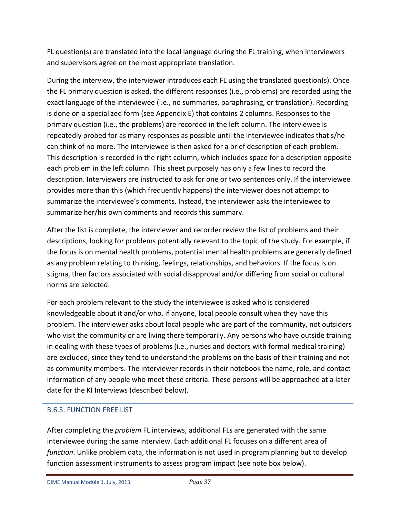FL question(s) are translated into the local language during the FL training, when interviewers and supervisors agree on the most appropriate translation.

During the interview, the interviewer introduces each FL using the translated question(s). Once the FL primary question is asked, the different responses (i.e., problems) are recorded using the exact language of the interviewee (i.e., no summaries, paraphrasing, or translation). Recording is done on a specialized form (see Appendix E) that contains 2 columns. Responses to the primary question (i.e., the problems) are recorded in the left column. The interviewee is repeatedly probed for as many responses as possible until the interviewee indicates that s/he can think of no more. The interviewee is then asked for a brief description of each problem. This description is recorded in the right column, which includes space for a description opposite each problem in the left column. This sheet purposely has only a few lines to record the description. Interviewers are instructed to ask for one or two sentences only. If the interviewee provides more than this (which frequently happens) the interviewer does not attempt to summarize the interviewee's comments. Instead, the interviewer asks the interviewee to summarize her/his own comments and records this summary.

After the list is complete, the interviewer and recorder review the list of problems and their descriptions, looking for problems potentially relevant to the topic of the study. For example, if the focus is on mental health problems, potential mental health problems are generally defined as any problem relating to thinking, feelings, relationships, and behaviors. If the focus is on stigma, then factors associated with social disapproval and/or differing from social or cultural norms are selected.

For each problem relevant to the study the interviewee is asked who is considered knowledgeable about it and/or who, if anyone, local people consult when they have this problem. The interviewer asks about local people who are part of the community, not outsiders who visit the community or are living there temporarily. Any persons who have outside training in dealing with these types of problems (i.e., nurses and doctors with formal medical training) are excluded, since they tend to understand the problems on the basis of their training and not as community members. The interviewer records in their notebook the name, role, and contact information of any people who meet these criteria. These persons will be approached at a later date for the KI Interviews (described below).

# <span id="page-36-0"></span>B.6.3. FUNCTION FREE LIST

After completing the *problem* FL interviews, additional FLs are generated with the same interviewee during the same interview. Each additional FL focuses on a different area of *function*. Unlike problem data, the information is not used in program planning but to develop function assessment instruments to assess program impact (see note box below).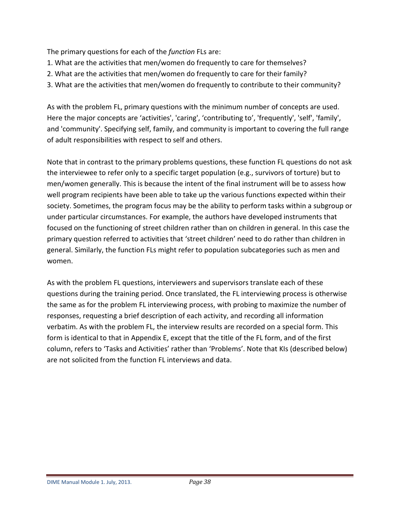The primary questions for each of the *function* FLs are:

- 1. What are the activities that men/women do frequently to care for themselves?
- 2. What are the activities that men/women do frequently to care for their family?
- 3. What are the activities that men/women do frequently to contribute to their community?

As with the problem FL, primary questions with the minimum number of concepts are used. Here the major concepts are 'activities', 'caring', 'contributing to', 'frequently', 'self', 'family', and 'community'. Specifying self, family, and community is important to covering the full range of adult responsibilities with respect to self and others.

Note that in contrast to the primary problems questions, these function FL questions do not ask the interviewee to refer only to a specific target population (e.g., survivors of torture) but to men/women generally. This is because the intent of the final instrument will be to assess how well program recipients have been able to take up the various functions expected within their society. Sometimes, the program focus may be the ability to perform tasks within a subgroup or under particular circumstances. For example, the authors have developed instruments that focused on the functioning of street children rather than on children in general. In this case the primary question referred to activities that 'street children' need to do rather than children in general. Similarly, the function FLs might refer to population subcategories such as men and women.

As with the problem FL questions, interviewers and supervisors translate each of these questions during the training period. Once translated, the FL interviewing process is otherwise the same as for the problem FL interviewing process, with probing to maximize the number of responses, requesting a brief description of each activity, and recording all information verbatim. As with the problem FL, the interview results are recorded on a special form. This form is identical to that in Appendix E, except that the title of the FL form, and of the first column, refers to 'Tasks and Activities' rather than 'Problems'. Note that KIs (described below) are not solicited from the function FL interviews and data.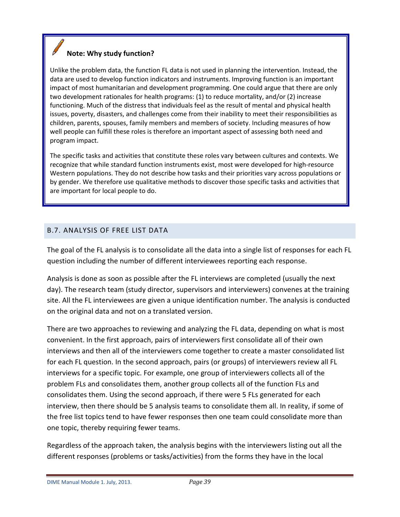# **Note: Why study function?**

Unlike the problem data, the function FL data is not used in planning the intervention. Instead, the data are used to develop function indicators and instruments. Improving function is an important impact of most humanitarian and development programming. One could argue that there are only two development rationales for health programs: (1) to reduce mortality, and/or (2) increase functioning. Much of the distress that individuals feel as the result of mental and physical health issues, poverty, disasters, and challenges come from their inability to meet their responsibilities as children, parents, spouses, family members and members of society. Including measures of how well people can fulfill these roles is therefore an important aspect of assessing both need and program impact.

The specific tasks and activities that constitute these roles vary between cultures and contexts. We recognize that while standard function instruments exist, most were developed for high-resource Western populations. They do not describe how tasks and their priorities vary across populations or by gender. We therefore use qualitative methods to discover those specific tasks and activities that are important for local people to do.

### <span id="page-38-0"></span>B.7. ANALYSIS OF FREE LIST DATA

The goal of the FL analysis is to consolidate all the data into a single list of responses for each FL question including the number of different interviewees reporting each response.

Analysis is done as soon as possible after the FL interviews are completed (usually the next day). The research team (study director, supervisors and interviewers) convenes at the training site. All the FL interviewees are given a unique identification number. The analysis is conducted on the original data and not on a translated version.

There are two approaches to reviewing and analyzing the FL data, depending on what is most convenient. In the first approach, pairs of interviewers first consolidate all of their own interviews and then all of the interviewers come together to create a master consolidated list for each FL question. In the second approach, pairs (or groups) of interviewers review all FL interviews for a specific topic. For example, one group of interviewers collects all of the problem FLs and consolidates them, another group collects all of the function FLs and consolidates them. Using the second approach, if there were 5 FLs generated for each interview, then there should be 5 analysis teams to consolidate them all. In reality, if some of the free list topics tend to have fewer responses then one team could consolidate more than one topic, thereby requiring fewer teams.

Regardless of the approach taken, the analysis begins with the interviewers listing out all the different responses (problems or tasks/activities) from the forms they have in the local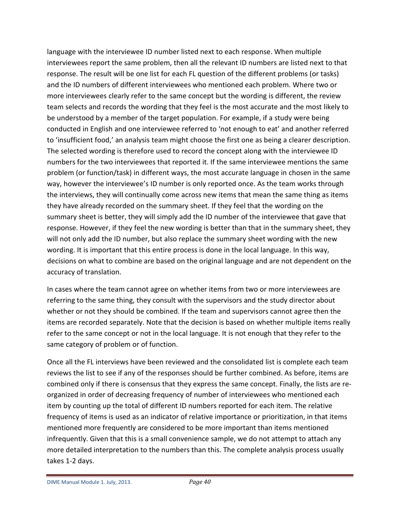language with the interviewee ID number listed next to each response. When multiple interviewees report the same problem, then all the relevant ID numbers are listed next to that response. The result will be one list for each FL question of the different problems (or tasks) and the ID numbers of different interviewees who mentioned each problem. Where two or more interviewees clearly refer to the same concept but the wording is different, the review team selects and records the wording that they feel is the most accurate and the most likely to be understood by a member of the target population. For example, if a study were being conducted in English and one interviewee referred to 'not enough to eat' and another referred to 'insufficient food,' an analysis team might choose the first one as being a clearer description. The selected wording is therefore used to record the concept along with the interviewee ID numbers for the two interviewees that reported it. If the same interviewee mentions the same problem (or function/task) in different ways, the most accurate language in chosen in the same way, however the interviewee's ID number is only reported once. As the team works through the interviews, they will continually come across new items that mean the same thing as items they have already recorded on the summary sheet. If they feel that the wording on the summary sheet is better, they will simply add the ID number of the interviewee that gave that response. However, if they feel the new wording is better than that in the summary sheet, they will not only add the ID number, but also replace the summary sheet wording with the new wording. It is important that this entire process is done in the local language. In this way, decisions on what to combine are based on the original language and are not dependent on the accuracy of translation.

In cases where the team cannot agree on whether items from two or more interviewees are referring to the same thing, they consult with the supervisors and the study director about whether or not they should be combined. If the team and supervisors cannot agree then the items are recorded separately. Note that the decision is based on whether multiple items really refer to the same concept or not in the local language. It is not enough that they refer to the same category of problem or of function.

Once all the FL interviews have been reviewed and the consolidated list is complete each team reviews the list to see if any of the responses should be further combined. As before, items are combined only if there is consensus that they express the same concept. Finally, the lists are reorganized in order of decreasing frequency of number of interviewees who mentioned each item by counting up the total of different ID numbers reported for each item. The relative frequency of items is used as an indicator of relative importance or prioritization, in that items mentioned more frequently are considered to be more important than items mentioned infrequently. Given that this is a small convenience sample, we do not attempt to attach any more detailed interpretation to the numbers than this. The complete analysis process usually takes 1-2 days.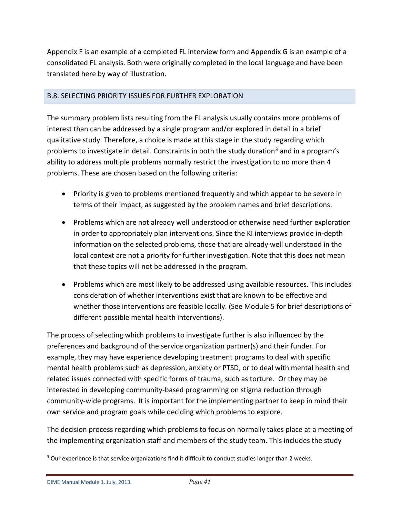Appendix F is an example of a completed FL interview form and Appendix G is an example of a consolidated FL analysis. Both were originally completed in the local language and have been translated here by way of illustration.

# <span id="page-40-0"></span>B.8. SELECTING PRIORITY ISSUES FOR FURTHER EXPLORATION

The summary problem lists resulting from the FL analysis usually contains more problems of interest than can be addressed by a single program and/or explored in detail in a brief qualitative study. Therefore, a choice is made at this stage in the study regarding which problems to investigate in detail. Constraints in both the study duration<sup>[3](#page-40-1)</sup> and in a program's ability to address multiple problems normally restrict the investigation to no more than 4 problems. These are chosen based on the following criteria:

- Priority is given to problems mentioned frequently and which appear to be severe in terms of their impact, as suggested by the problem names and brief descriptions.
- Problems which are not already well understood or otherwise need further exploration in order to appropriately plan interventions. Since the KI interviews provide in-depth information on the selected problems, those that are already well understood in the local context are not a priority for further investigation. Note that this does not mean that these topics will not be addressed in the program.
- Problems which are most likely to be addressed using available resources. This includes consideration of whether interventions exist that are known to be effective and whether those interventions are feasible locally. (See Module 5 for brief descriptions of different possible mental health interventions).

The process of selecting which problems to investigate further is also influenced by the preferences and background of the service organization partner(s) and their funder. For example, they may have experience developing treatment programs to deal with specific mental health problems such as depression, anxiety or PTSD, or to deal with mental health and related issues connected with specific forms of trauma, such as torture. Or they may be interested in developing community-based programming on stigma reduction through community-wide programs. It is important for the implementing partner to keep in mind their own service and program goals while deciding which problems to explore.

The decision process regarding which problems to focus on normally takes place at a meeting of the implementing organization staff and members of the study team. This includes the study

<span id="page-40-1"></span><sup>&</sup>lt;sup>3</sup> Our experience is that service organizations find it difficult to conduct studies longer than 2 weeks.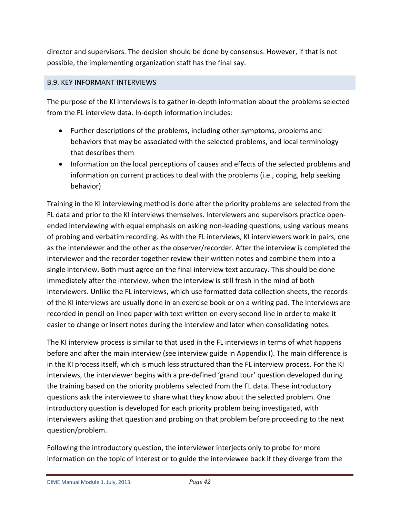director and supervisors. The decision should be done by consensus. However, if that is not possible, the implementing organization staff has the final say.

# <span id="page-41-0"></span>B.9. KEY INFORMANT INTERVIEWS

The purpose of the KI interviews is to gather in-depth information about the problems selected from the FL interview data. In-depth information includes:

- Further descriptions of the problems, including other symptoms, problems and behaviors that may be associated with the selected problems, and local terminology that describes them
- Information on the local perceptions of causes and effects of the selected problems and information on current practices to deal with the problems (i.e., coping, help seeking behavior)

Training in the KI interviewing method is done after the priority problems are selected from the FL data and prior to the KI interviews themselves. Interviewers and supervisors practice openended interviewing with equal emphasis on asking non-leading questions, using various means of probing and verbatim recording. As with the FL interviews, KI interviewers work in pairs, one as the interviewer and the other as the observer/recorder. After the interview is completed the interviewer and the recorder together review their written notes and combine them into a single interview. Both must agree on the final interview text accuracy. This should be done immediately after the interview, when the interview is still fresh in the mind of both interviewers. Unlike the FL interviews, which use formatted data collection sheets, the records of the KI interviews are usually done in an exercise book or on a writing pad. The interviews are recorded in pencil on lined paper with text written on every second line in order to make it easier to change or insert notes during the interview and later when consolidating notes.

The KI interview process is similar to that used in the FL interviews in terms of what happens before and after the main interview (see interview guide in Appendix I). The main difference is in the KI process itself, which is much less structured than the FL interview process. For the KI interviews, the interviewer begins with a pre-defined 'grand tour' question developed during the training based on the priority problems selected from the FL data. These introductory questions ask the interviewee to share what they know about the selected problem. One introductory question is developed for each priority problem being investigated, with interviewers asking that question and probing on that problem before proceeding to the next question/problem.

Following the introductory question, the interviewer interjects only to probe for more information on the topic of interest or to guide the interviewee back if they diverge from the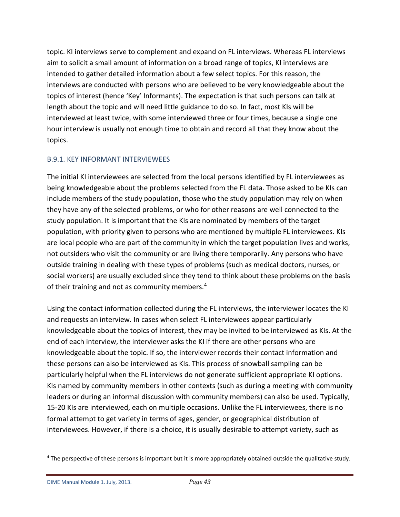topic. KI interviews serve to complement and expand on FL interviews. Whereas FL interviews aim to solicit a small amount of information on a broad range of topics, KI interviews are intended to gather detailed information about a few select topics. For this reason, the interviews are conducted with persons who are believed to be very knowledgeable about the topics of interest (hence 'Key' Informants). The expectation is that such persons can talk at length about the topic and will need little guidance to do so. In fact, most KIs will be interviewed at least twice, with some interviewed three or four times, because a single one hour interview is usually not enough time to obtain and record all that they know about the topics.

## <span id="page-42-0"></span>B.9.1. KEY INFORMANT INTERVIEWEES

The initial KI interviewees are selected from the local persons identified by FL interviewees as being knowledgeable about the problems selected from the FL data. Those asked to be KIs can include members of the study population, those who the study population may rely on when they have any of the selected problems, or who for other reasons are well connected to the study population. It is important that the KIs are nominated by members of the target population, with priority given to persons who are mentioned by multiple FL interviewees. KIs are local people who are part of the community in which the target population lives and works, not outsiders who visit the community or are living there temporarily. Any persons who have outside training in dealing with these types of problems (such as medical doctors, nurses, or social workers) are usually excluded since they tend to think about these problems on the basis of their training and not as community members.<sup>[4](#page-42-1)</sup>

Using the contact information collected during the FL interviews, the interviewer locates the KI and requests an interview. In cases when select FL interviewees appear particularly knowledgeable about the topics of interest, they may be invited to be interviewed as KIs. At the end of each interview, the interviewer asks the KI if there are other persons who are knowledgeable about the topic. If so, the interviewer records their contact information and these persons can also be interviewed as KIs. This process of snowball sampling can be particularly helpful when the FL interviews do not generate sufficient appropriate KI options. KIs named by community members in other contexts (such as during a meeting with community leaders or during an informal discussion with community members) can also be used. Typically, 15-20 KIs are interviewed, each on multiple occasions. Unlike the FL interviewees, there is no formal attempt to get variety in terms of ages, gender, or geographical distribution of interviewees. However, if there is a choice, it is usually desirable to attempt variety, such as

<span id="page-42-1"></span><sup>&</sup>lt;sup>4</sup> The perspective of these persons is important but it is more appropriately obtained outside the qualitative study.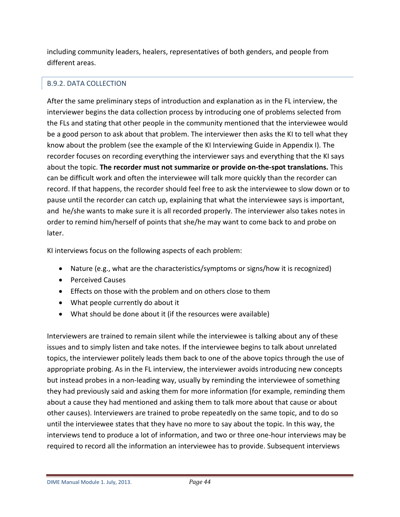including community leaders, healers, representatives of both genders, and people from different areas.

# <span id="page-43-0"></span>B.9.2. DATA COLLECTION

After the same preliminary steps of introduction and explanation as in the FL interview, the interviewer begins the data collection process by introducing one of problems selected from the FLs and stating that other people in the community mentioned that the interviewee would be a good person to ask about that problem. The interviewer then asks the KI to tell what they know about the problem (see the example of the KI Interviewing Guide in Appendix I). The recorder focuses on recording everything the interviewer says and everything that the KI says about the topic. **The recorder must not summarize or provide on-the-spot translations.** This can be difficult work and often the interviewee will talk more quickly than the recorder can record. If that happens, the recorder should feel free to ask the interviewee to slow down or to pause until the recorder can catch up, explaining that what the interviewee says is important, and he/she wants to make sure it is all recorded properly. The interviewer also takes notes in order to remind him/herself of points that she/he may want to come back to and probe on later.

KI interviews focus on the following aspects of each problem:

- Nature (e.g., what are the characteristics/symptoms or signs/how it is recognized)
- Perceived Causes
- Effects on those with the problem and on others close to them
- What people currently do about it
- What should be done about it (if the resources were available)

Interviewers are trained to remain silent while the interviewee is talking about any of these issues and to simply listen and take notes. If the interviewee begins to talk about unrelated topics, the interviewer politely leads them back to one of the above topics through the use of appropriate probing. As in the FL interview, the interviewer avoids introducing new concepts but instead probes in a non-leading way, usually by reminding the interviewee of something they had previously said and asking them for more information (for example, reminding them about a cause they had mentioned and asking them to talk more about that cause or about other causes). Interviewers are trained to probe repeatedly on the same topic, and to do so until the interviewee states that they have no more to say about the topic. In this way, the interviews tend to produce a lot of information, and two or three one-hour interviews may be required to record all the information an interviewee has to provide. Subsequent interviews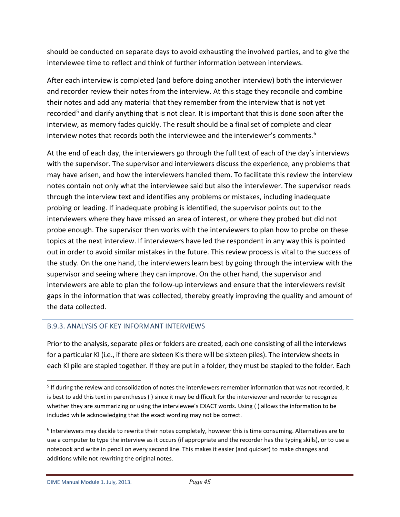should be conducted on separate days to avoid exhausting the involved parties, and to give the interviewee time to reflect and think of further information between interviews.

After each interview is completed (and before doing another interview) both the interviewer and recorder review their notes from the interview. At this stage they reconcile and combine their notes and add any material that they remember from the interview that is not yet recorded<sup>[5](#page-44-1)</sup> and clarify anything that is not clear. It is important that this is done soon after the interview, as memory fades quickly. The result should be a final set of complete and clear interview notes that records both the interviewee and the interviewer's comments.<sup>[6](#page-44-2)</sup>

At the end of each day, the interviewers go through the full text of each of the day's interviews with the supervisor. The supervisor and interviewers discuss the experience, any problems that may have arisen, and how the interviewers handled them. To facilitate this review the interview notes contain not only what the interviewee said but also the interviewer. The supervisor reads through the interview text and identifies any problems or mistakes, including inadequate probing or leading. If inadequate probing is identified, the supervisor points out to the interviewers where they have missed an area of interest, or where they probed but did not probe enough. The supervisor then works with the interviewers to plan how to probe on these topics at the next interview. If interviewers have led the respondent in any way this is pointed out in order to avoid similar mistakes in the future. This review process is vital to the success of the study. On the one hand, the interviewers learn best by going through the interview with the supervisor and seeing where they can improve. On the other hand, the supervisor and interviewers are able to plan the follow-up interviews and ensure that the interviewers revisit gaps in the information that was collected, thereby greatly improving the quality and amount of the data collected.

## <span id="page-44-0"></span>B.9.3. ANALYSIS OF KEY INFORMANT INTERVIEWS

Prior to the analysis, separate piles or folders are created, each one consisting of all the interviews for a particular KI (i.e., if there are sixteen KIs there will be sixteen piles). The interview sheets in each KI pile are stapled together. If they are put in a folder, they must be stapled to the folder. Each

<span id="page-44-1"></span> <sup>5</sup> If during the review and consolidation of notes the interviewers remember information that was not recorded, it is best to add this text in parentheses ( ) since it may be difficult for the interviewer and recorder to recognize whether they are summarizing or using the interviewee's EXACT words. Using ( ) allows the information to be included while acknowledging that the exact wording may not be correct.

<span id="page-44-2"></span><sup>&</sup>lt;sup>6</sup> Interviewers may decide to rewrite their notes completely, however this is time consuming. Alternatives are to use a computer to type the interview as it occurs (if appropriate and the recorder has the typing skills), or to use a notebook and write in pencil on every second line. This makes it easier (and quicker) to make changes and additions while not rewriting the original notes.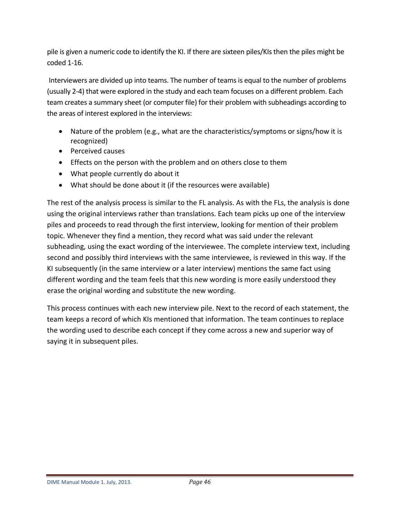pile is given a numeric code to identify the KI. If there are sixteen piles/KIs then the piles might be coded 1-16.

Interviewers are divided up into teams. The number of teams is equal to the number of problems (usually 2-4) that were explored in the study and each team focuses on a different problem. Each team creates a summary sheet (or computer file) for their problem with subheadings according to the areas of interest explored in the interviews:

- Nature of the problem (e.g., what are the characteristics/symptoms or signs/how it is recognized)
- Perceived causes
- Effects on the person with the problem and on others close to them
- What people currently do about it
- What should be done about it (if the resources were available)

The rest of the analysis process is similar to the FL analysis. As with the FLs, the analysis is done using the original interviews rather than translations. Each team picks up one of the interview piles and proceeds to read through the first interview, looking for mention of their problem topic. Whenever they find a mention, they record what was said under the relevant subheading, using the exact wording of the interviewee. The complete interview text, including second and possibly third interviews with the same interviewee, is reviewed in this way. If the KI subsequently (in the same interview or a later interview) mentions the same fact using different wording and the team feels that this new wording is more easily understood they erase the original wording and substitute the new wording.

This process continues with each new interview pile. Next to the record of each statement, the team keeps a record of which KIs mentioned that information. The team continues to replace the wording used to describe each concept if they come across a new and superior way of saying it in subsequent piles.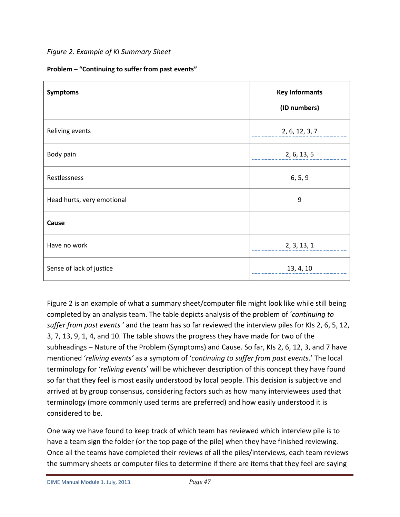# *Figure 2. Example of KI Summary Sheet*

| Symptoms                   | <b>Key Informants</b><br>(ID numbers) |
|----------------------------|---------------------------------------|
| Reliving events            | 2, 6, 12, 3, 7                        |
| Body pain                  | 2, 6, 13, 5                           |
| Restlessness               | 6, 5, 9                               |
| Head hurts, very emotional | q                                     |
| Cause                      |                                       |
| Have no work               | 2, 3, 13, 1                           |
| Sense of lack of justice   | 13, 4, 10                             |

Figure 2 is an example of what a summary sheet/computer file might look like while still being completed by an analysis team. The table depicts analysis of the problem of '*continuing to suffer from past events* ' and the team has so far reviewed the interview piles for KIs 2, 6, 5, 12, 3, 7, 13, 9, 1, 4, and 10. The table shows the progress they have made for two of the subheadings – Nature of the Problem (Symptoms) and Cause. So far, KIs 2, 6, 12, 3, and 7 have mentioned '*reliving events'* as a symptom of '*continuing to suffer from past events*.' The local terminology for '*reliving events*' will be whichever description of this concept they have found so far that they feel is most easily understood by local people. This decision is subjective and arrived at by group consensus, considering factors such as how many interviewees used that terminology (more commonly used terms are preferred) and how easily understood it is considered to be.

One way we have found to keep track of which team has reviewed which interview pile is to have a team sign the folder (or the top page of the pile) when they have finished reviewing. Once all the teams have completed their reviews of all the piles/interviews, each team reviews the summary sheets or computer files to determine if there are items that they feel are saying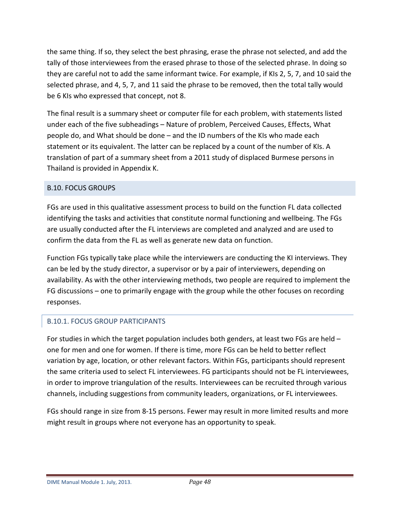the same thing. If so, they select the best phrasing, erase the phrase not selected, and add the tally of those interviewees from the erased phrase to those of the selected phrase. In doing so they are careful not to add the same informant twice. For example, if KIs 2, 5, 7, and 10 said the selected phrase, and 4, 5, 7, and 11 said the phrase to be removed, then the total tally would be 6 KIs who expressed that concept, not 8.

The final result is a summary sheet or computer file for each problem, with statements listed under each of the five subheadings – Nature of problem, Perceived Causes, Effects, What people do, and What should be done – and the ID numbers of the KIs who made each statement or its equivalent. The latter can be replaced by a count of the number of KIs. A translation of part of a summary sheet from a 2011 study of displaced Burmese persons in Thailand is provided in Appendix K.

## <span id="page-47-0"></span>B.10. FOCUS GROUPS

FGs are used in this qualitative assessment process to build on the function FL data collected identifying the tasks and activities that constitute normal functioning and wellbeing. The FGs are usually conducted after the FL interviews are completed and analyzed and are used to confirm the data from the FL as well as generate new data on function.

Function FGs typically take place while the interviewers are conducting the KI interviews. They can be led by the study director, a supervisor or by a pair of interviewers, depending on availability. As with the other interviewing methods, two people are required to implement the FG discussions – one to primarily engage with the group while the other focuses on recording responses.

# <span id="page-47-1"></span>B.10.1. FOCUS GROUP PARTICIPANTS

For studies in which the target population includes both genders, at least two FGs are held – one for men and one for women. If there is time, more FGs can be held to better reflect variation by age, location, or other relevant factors. Within FGs, participants should represent the same criteria used to select FL interviewees. FG participants should not be FL interviewees, in order to improve triangulation of the results. Interviewees can be recruited through various channels, including suggestions from community leaders, organizations, or FL interviewees.

FGs should range in size from 8-15 persons. Fewer may result in more limited results and more might result in groups where not everyone has an opportunity to speak.

DIME Manual Module 1. July, 2013. *Page 48*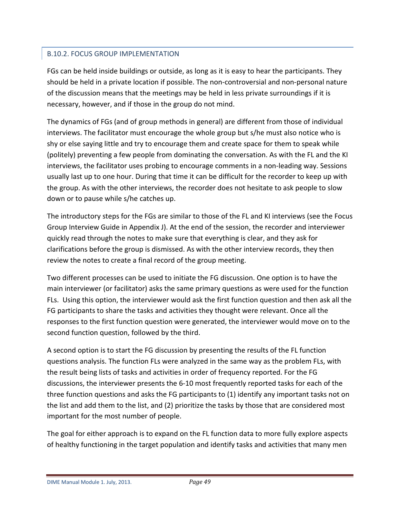# <span id="page-48-0"></span>B.10.2. FOCUS GROUP IMPLEMENTATION

FGs can be held inside buildings or outside, as long as it is easy to hear the participants. They should be held in a private location if possible. The non-controversial and non-personal nature of the discussion means that the meetings may be held in less private surroundings if it is necessary, however, and if those in the group do not mind.

The dynamics of FGs (and of group methods in general) are different from those of individual interviews. The facilitator must encourage the whole group but s/he must also notice who is shy or else saying little and try to encourage them and create space for them to speak while (politely) preventing a few people from dominating the conversation. As with the FL and the KI interviews, the facilitator uses probing to encourage comments in a non-leading way. Sessions usually last up to one hour. During that time it can be difficult for the recorder to keep up with the group. As with the other interviews, the recorder does not hesitate to ask people to slow down or to pause while s/he catches up.

The introductory steps for the FGs are similar to those of the FL and KI interviews (see the Focus Group Interview Guide in Appendix J). At the end of the session, the recorder and interviewer quickly read through the notes to make sure that everything is clear, and they ask for clarifications before the group is dismissed. As with the other interview records, they then review the notes to create a final record of the group meeting.

Two different processes can be used to initiate the FG discussion. One option is to have the main interviewer (or facilitator) asks the same primary questions as were used for the function FLs. Using this option, the interviewer would ask the first function question and then ask all the FG participants to share the tasks and activities they thought were relevant. Once all the responses to the first function question were generated, the interviewer would move on to the second function question, followed by the third.

A second option is to start the FG discussion by presenting the results of the FL function questions analysis. The function FLs were analyzed in the same way as the problem FLs, with the result being lists of tasks and activities in order of frequency reported. For the FG discussions, the interviewer presents the 6-10 most frequently reported tasks for each of the three function questions and asks the FG participants to (1) identify any important tasks not on the list and add them to the list, and (2) prioritize the tasks by those that are considered most important for the most number of people.

The goal for either approach is to expand on the FL function data to more fully explore aspects of healthy functioning in the target population and identify tasks and activities that many men

DIME Manual Module 1. July, 2013. *Page 49*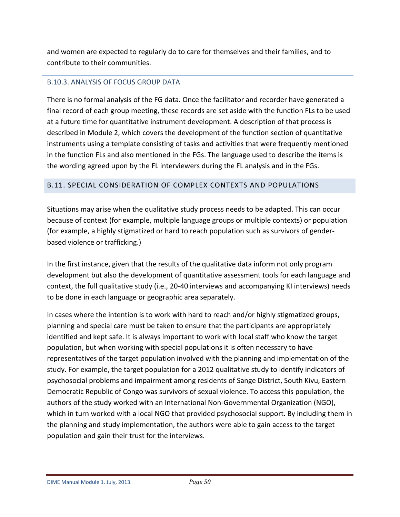and women are expected to regularly do to care for themselves and their families, and to contribute to their communities.

# <span id="page-49-0"></span>B.10.3. ANALYSIS OF FOCUS GROUP DATA

There is no formal analysis of the FG data. Once the facilitator and recorder have generated a final record of each group meeting, these records are set aside with the function FLs to be used at a future time for quantitative instrument development. A description of that process is described in Module 2, which covers the development of the function section of quantitative instruments using a template consisting of tasks and activities that were frequently mentioned in the function FLs and also mentioned in the FGs. The language used to describe the items is the wording agreed upon by the FL interviewers during the FL analysis and in the FGs.

# <span id="page-49-1"></span>B.11. SPECIAL CONSIDERATION OF COMPLEX CONTEXTS AND POPULATIONS

Situations may arise when the qualitative study process needs to be adapted. This can occur because of context (for example, multiple language groups or multiple contexts) or population (for example, a highly stigmatized or hard to reach population such as survivors of genderbased violence or trafficking.)

In the first instance, given that the results of the qualitative data inform not only program development but also the development of quantitative assessment tools for each language and context, the full qualitative study (i.e., 20-40 interviews and accompanying KI interviews) needs to be done in each language or geographic area separately.

In cases where the intention is to work with hard to reach and/or highly stigmatized groups, planning and special care must be taken to ensure that the participants are appropriately identified and kept safe. It is always important to work with local staff who know the target population, but when working with special populations it is often necessary to have representatives of the target population involved with the planning and implementation of the study. For example, the target population for a 2012 qualitative study to identify indicators of psychosocial problems and impairment among residents of Sange District, South Kivu, Eastern Democratic Republic of Congo was survivors of sexual violence. To access this population, the authors of the study worked with an International Non-Governmental Organization (NGO), which in turn worked with a local NGO that provided psychosocial support. By including them in the planning and study implementation, the authors were able to gain access to the target population and gain their trust for the interviews.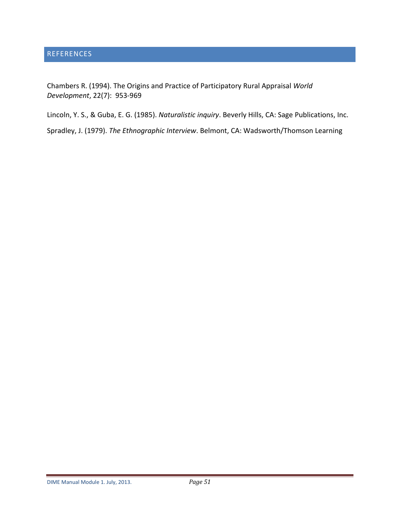<span id="page-50-0"></span>Chambers R. (1994). The Origins and Practice of Participatory Rural Appraisal *World Development*, 22(7): 953-969

Lincoln, Y. S., & Guba, E. G. (1985). *Naturalistic inquiry*. Beverly Hills, CA: Sage Publications, Inc.

Spradley, J. (1979). *The Ethnographic Interview*. Belmont, CA: Wadsworth/Thomson Learning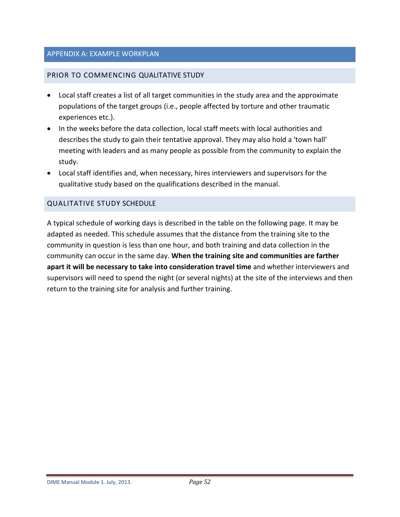### <span id="page-51-0"></span>APPENDIX A: EXAMPLE WORKPLAN

### <span id="page-51-1"></span>PRIOR TO COMMENCING QUALITATIVE STUDY

- Local staff creates a list of all target communities in the study area and the approximate populations of the target groups (i.e., people affected by torture and other traumatic experiences etc.).
- In the weeks before the data collection, local staff meets with local authorities and describes the study to gain their tentative approval. They may also hold a 'town hall' meeting with leaders and as many people as possible from the community to explain the study.
- Local staff identifies and, when necessary, hires interviewers and supervisors for the qualitative study based on the qualifications described in the manual.

### <span id="page-51-2"></span>QUALITATIVE STUDY SCHEDULE

A typical schedule of working days is described in the table on the following page. It may be adapted as needed. This schedule assumes that the distance from the training site to the community in question is less than one hour, and both training and data collection in the community can occur in the same day. **When the training site and communities are farther apart it will be necessary to take into consideration travel time** and whether interviewers and supervisors will need to spend the night (or several nights) at the site of the interviews and then return to the training site for analysis and further training.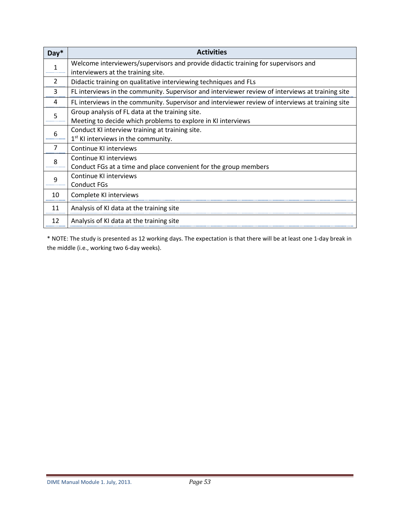| $Day*$ | <b>Activities</b>                                                                                                        |
|--------|--------------------------------------------------------------------------------------------------------------------------|
| 1      | Welcome interviewers/supervisors and provide didactic training for supervisors and<br>interviewers at the training site. |
| 2      | Didactic training on qualitative interviewing techniques and FLs                                                         |
| 3      | FL interviews in the community. Supervisor and interviewer review of interviews at training site                         |
| 4      | FL interviews in the community. Supervisor and interviewer review of interviews at training site                         |
| 5      | Group analysis of FL data at the training site.<br>Meeting to decide which problems to explore in KI interviews          |
| 6      | Conduct KI interview training at training site.<br>1 <sup>st</sup> KI interviews in the community.                       |
| 7      | Continue KI interviews                                                                                                   |
| 8      | Continue KI interviews<br>Conduct FGs at a time and place convenient for the group members                               |
| 9      | Continue KI interviews<br><b>Conduct FGs</b>                                                                             |
| 10     | Complete KI interviews                                                                                                   |
| 11     | Analysis of KI data at the training site                                                                                 |
| 12     | Analysis of KI data at the training site                                                                                 |

\* NOTE: The study is presented as 12 working days. The expectation is that there will be at least one 1-day break in the middle (i.e., working two 6-day weeks).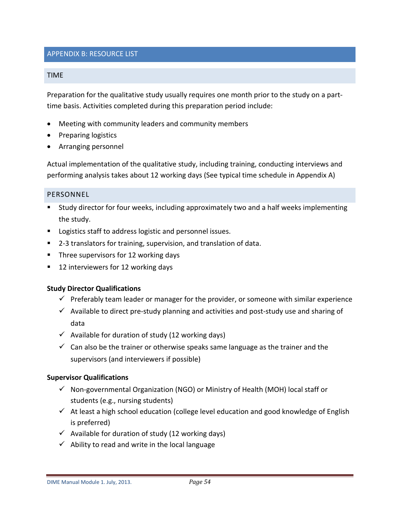### <span id="page-53-0"></span>APPENDIX B: RESOURCE LIST

#### <span id="page-53-1"></span>TIME

Preparation for the qualitative study usually requires one month prior to the study on a parttime basis. Activities completed during this preparation period include:

- Meeting with community leaders and community members
- Preparing logistics
- Arranging personnel

Actual implementation of the qualitative study, including training, conducting interviews and performing analysis takes about 12 working days (See typical time schedule in Appendix A)

#### <span id="page-53-2"></span>PERSONNEL

- Study director for four weeks, including approximately two and a half weeks implementing the study.
- **Logistics staff to address logistic and personnel issues.**
- 2-3 translators for training, supervision, and translation of data.
- **Three supervisors for 12 working days**
- 12 interviewers for 12 working days

### **Study Director Qualifications**

- $\checkmark$  Preferably team leader or manager for the provider, or someone with similar experience
- $\checkmark$  Available to direct pre-study planning and activities and post-study use and sharing of data
- $\checkmark$  Available for duration of study (12 working days)
- $\checkmark$  Can also be the trainer or otherwise speaks same language as the trainer and the supervisors (and interviewers if possible)

#### **Supervisor Qualifications**

- $\checkmark$  Non-governmental Organization (NGO) or Ministry of Health (MOH) local staff or students (e.g., nursing students)
- $\checkmark$  At least a high school education (college level education and good knowledge of English is preferred)
- $\checkmark$  Available for duration of study (12 working days)
- $\checkmark$  Ability to read and write in the local language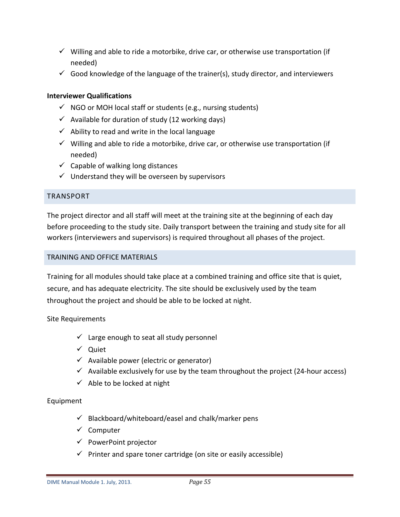- $\checkmark$  Willing and able to ride a motorbike, drive car, or otherwise use transportation (if needed)
- $\checkmark$  Good knowledge of the language of the trainer(s), study director, and interviewers

## **Interviewer Qualifications**

- $\checkmark$  NGO or MOH local staff or students (e.g., nursing students)
- $\checkmark$  Available for duration of study (12 working days)
- $\checkmark$  Ability to read and write in the local language
- $\checkmark$  Willing and able to ride a motorbike, drive car, or otherwise use transportation (if needed)
- $\checkmark$  Capable of walking long distances
- $\checkmark$  Understand they will be overseen by supervisors

### <span id="page-54-0"></span>TRANSPORT

The project director and all staff will meet at the training site at the beginning of each day before proceeding to the study site. Daily transport between the training and study site for all workers (interviewers and supervisors) is required throughout all phases of the project.

### <span id="page-54-1"></span>TRAINING AND OFFICE MATERIALS

Training for all modules should take place at a combined training and office site that is quiet, secure, and has adequate electricity. The site should be exclusively used by the team throughout the project and should be able to be locked at night.

### Site Requirements

- $\checkmark$  Large enough to seat all study personnel
- $\checkmark$  Quiet
- $\checkmark$  Available power (electric or generator)
- $\checkmark$  Available exclusively for use by the team throughout the project (24-hour access)
- $\checkmark$  Able to be locked at night

### Equipment

- $\checkmark$  Blackboard/whiteboard/easel and chalk/marker pens
- $\checkmark$  Computer
- $\checkmark$  PowerPoint projector
- $\checkmark$  Printer and spare toner cartridge (on site or easily accessible)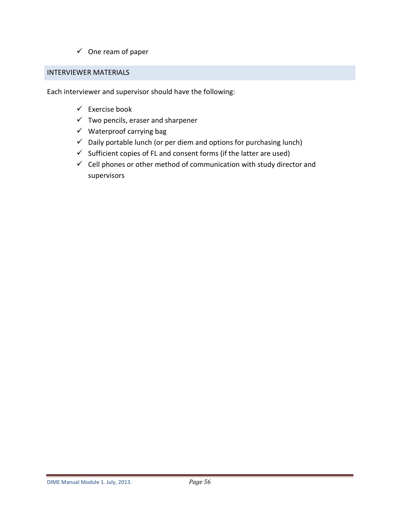$\checkmark$  One ream of paper

### <span id="page-55-0"></span>INTERVIEWER MATERIALS

Each interviewer and supervisor should have the following:

- $\checkmark$  Exercise book
- $\checkmark$  Two pencils, eraser and sharpener
- $\checkmark$  Waterproof carrying bag
- $\checkmark$  Daily portable lunch (or per diem and options for purchasing lunch)
- $\checkmark$  Sufficient copies of FL and consent forms (if the latter are used)
- $\checkmark$  Cell phones or other method of communication with study director and supervisors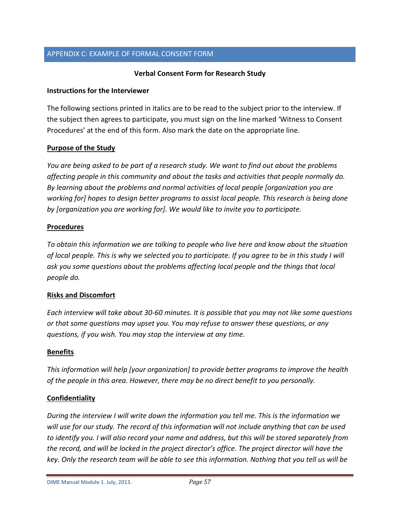### <span id="page-56-0"></span>APPENDIX C: EXAMPLE OF FORMAL CONSENT FORM

### **Verbal Consent Form for Research Study**

#### **Instructions for the Interviewer**

The following sections printed in italics are to be read to the subject prior to the interview. If the subject then agrees to participate, you must sign on the line marked 'Witness to Consent Procedures' at the end of this form. Also mark the date on the appropriate line.

### **Purpose of the Study**

*You are being asked to be part of a research study. We want to find out about the problems affecting people in this community and about the tasks and activities that people normally do. By learning about the problems and normal activities of local people [organization you are working for] hopes to design better programs to assist local people. This research is being done by [organization you are working for]. We would like to invite you to participate.* 

#### **Procedures**

*To obtain this information we are talking to people who live here and know about the situation of local people. This is why we selected you to participate. If you agree to be in this study I will ask you some questions about the problems affecting local people and the things that local people do.* 

### **Risks and Discomfort**

*Each interview will take about 30-60 minutes. It is possible that you may not like some questions or that some questions may upset you. You may refuse to answer these questions, or any questions, if you wish. You may stop the interview at any time.* 

### **Benefits**

*This information will help [your organization] to provide better programs to improve the health of the people in this area. However, there may be no direct benefit to you personally.*

### **Confidentiality**

*During the interview I will write down the information you tell me. This is the information we will use for our study. The record of this information will not include anything that can be used to identify you. I will also record your name and address, but this will be stored separately from the record, and will be locked in the project director's office. The project director will have the key. Only the research team will be able to see this information. Nothing that you tell us will be*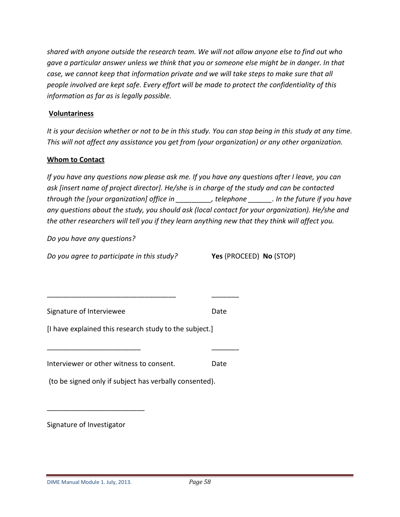*shared with anyone outside the research team. We will not allow anyone else to find out who gave a particular answer unless we think that you or someone else might be in danger. In that case, we cannot keep that information private and we will take steps to make sure that all people involved are kept safe. Every effort will be made to protect the confidentiality of this information as far as is legally possible.* 

### **Voluntariness**

*It is your decision whether or not to be in this study. You can stop being in this study at any time. This will not affect any assistance you get from (your organization) or any other organization.*

#### **Whom to Contact**

*If you have any questions now please ask me. If you have any questions after I leave, you can ask [insert name of project director]. He/she is in charge of the study and can be contacted through the [your organization] office in \_\_\_\_\_\_\_\_\_, telephone \_\_\_\_\_\_. In the future if you have any questions about the study, you should ask (local contact for your organization). He/she and the other researchers will tell you if they learn anything new that they think will affect you.*

*Do you have any questions?*

*Do you agree to participate in this study?* **Yes** (PROCEED) **No** (STOP)

Signature of Interviewee **Date** Date

[I have explained this research study to the subject.]

Interviewer or other witness to consent. Date

\_\_\_\_\_\_\_\_\_\_\_\_\_\_\_\_\_\_\_\_\_\_\_\_ \_\_\_\_\_\_\_

\_\_\_\_\_\_\_\_\_\_\_\_\_\_\_\_\_\_\_\_\_\_\_\_\_\_\_\_\_\_\_\_\_ \_\_\_\_\_\_\_

(to be signed only if subject has verbally consented).

Signature of Investigator

\_\_\_\_\_\_\_\_\_\_\_\_\_\_\_\_\_\_\_\_\_\_\_\_\_

DIME Manual Module 1. July, 2013. *Page 58*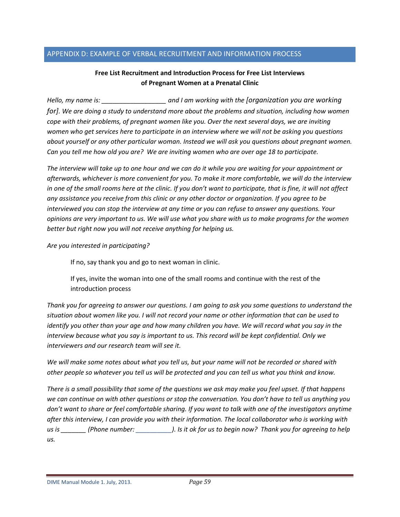### <span id="page-58-0"></span>APPENDIX D: EXAMPLE OF VERBAL RECRUITMENT AND INFORMATION PROCESS

### **Free List Recruitment and Introduction Process for Free List Interviews of Pregnant Women at a Prenatal Clinic**

*Hello, my name is: \_\_\_\_\_\_\_\_\_\_\_\_\_\_\_\_\_\_ and I am working with the [organization you are working for]. We are doing a study to understand more about the problems and situation, including how women cope with their problems, of pregnant women like you. Over the next several days, we are inviting women who get services here to participate in an interview where we will not be asking you questions about yourself or any other particular woman. Instead we will ask you questions about pregnant women. Can you tell me how old you are? We are inviting women who are over age 18 to participate.* 

*The interview will take up to one hour and we can do it while you are waiting for your appointment or afterwards, whichever is more convenient for you. To make it more comfortable, we will do the interview in one of the small rooms here at the clinic. If you don't want to participate, that is fine, it will not affect any assistance you receive from this clinic or any other doctor or organization. If you agree to be interviewed you can stop the interview at any time or you can refuse to answer any questions. Your opinions are very important to us. We will use what you share with us to make programs for the women better but right now you will not receive anything for helping us.*

*Are you interested in participating?*

If no, say thank you and go to next woman in clinic.

If yes, invite the woman into one of the small rooms and continue with the rest of the introduction process

*Thank you for agreeing to answer our questions. I am going to ask you some questions to understand the situation about women like you. I will not record your name or other information that can be used to identify you other than your age and how many children you have. We will record what you say in the interview because what you say is important to us. This record will be kept confidential. Only we interviewers and our research team will see it.*

*We will make some notes about what you tell us, but your name will not be recorded or shared with other people so whatever you tell us will be protected and you can tell us what you think and know.* 

*There is a small possibility that some of the questions we ask may make you feel upset. If that happens we can continue on with other questions or stop the conversation. You don't have to tell us anything you don't want to share or feel comfortable sharing. If you want to talk with one of the investigators anytime after this interview, I can provide you with their information. The local collaborator who is working with us is \_\_\_\_\_\_\_ (Phone number: \_\_\_\_\_\_\_\_\_\_). Is it ok for us to begin now? Thank you for agreeing to help us.* 

DIME Manual Module 1. July, 2013. *Page 59*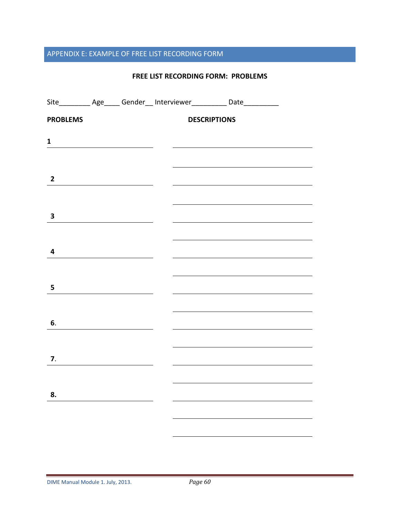# <span id="page-59-0"></span>APPENDIX E: EXAMPLE OF FREE LIST RECORDING FORM

#### **FREE LIST RECORDING FORM: PROBLEMS**

|                         |                                                                                                                                                                                                                                      |                     | Site___________ Age______ Gender___ Interviewer____________ Date___________                                          |  |
|-------------------------|--------------------------------------------------------------------------------------------------------------------------------------------------------------------------------------------------------------------------------------|---------------------|----------------------------------------------------------------------------------------------------------------------|--|
| <b>PROBLEMS</b>         |                                                                                                                                                                                                                                      | <b>DESCRIPTIONS</b> |                                                                                                                      |  |
| $\mathbf{1}$            |                                                                                                                                                                                                                                      |                     |                                                                                                                      |  |
|                         |                                                                                                                                                                                                                                      |                     |                                                                                                                      |  |
| $\overline{\mathbf{2}}$ |                                                                                                                                                                                                                                      |                     |                                                                                                                      |  |
|                         |                                                                                                                                                                                                                                      |                     | <u> 1980 - Johann Barn, mars ann an t-Amhain Aonaich an t-Aonaich an t-Aonaich ann an t-Aonaich ann an t-Aonaich</u> |  |
| $\mathbf{3}$            |                                                                                                                                                                                                                                      |                     |                                                                                                                      |  |
|                         |                                                                                                                                                                                                                                      |                     |                                                                                                                      |  |
| $\overline{4}$          |                                                                                                                                                                                                                                      |                     |                                                                                                                      |  |
|                         |                                                                                                                                                                                                                                      |                     |                                                                                                                      |  |
| 5                       | <u> 1989 - Andrea Andrew Maria Barat (</u>                                                                                                                                                                                           |                     |                                                                                                                      |  |
|                         |                                                                                                                                                                                                                                      |                     |                                                                                                                      |  |
| 6.                      | <u> 1999 - Jan Jawa Barat, professor p</u>                                                                                                                                                                                           |                     |                                                                                                                      |  |
|                         |                                                                                                                                                                                                                                      |                     |                                                                                                                      |  |
| 7.                      |                                                                                                                                                                                                                                      |                     |                                                                                                                      |  |
| 8.                      |                                                                                                                                                                                                                                      |                     |                                                                                                                      |  |
|                         | <u> Albanya di Barat Barat Barat Barat Barat Barat Barat Barat Barat Barat Barat Barat Barat Barat Barat Barat Barat Barat Barat Barat Barat Barat Barat Barat Barat Barat Barat Barat Barat Barat Barat Barat Barat Barat Barat</u> |                     |                                                                                                                      |  |
|                         |                                                                                                                                                                                                                                      |                     |                                                                                                                      |  |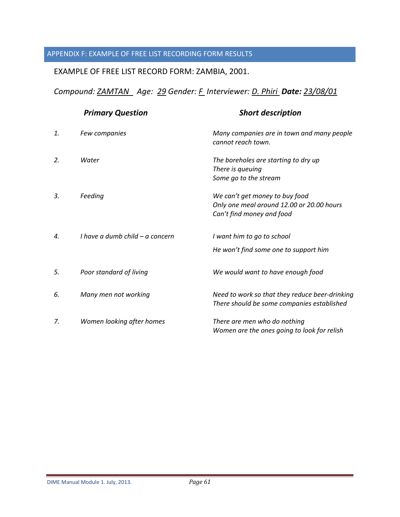# <span id="page-60-0"></span>APPENDIX F: EXAMPLE OF FREE LIST RECORDING FORM RESULTS

# EXAMPLE OF FREE LIST RECORD FORM: ZAMBIA, 2001.

*Compound: ZAMTAN Age: 29 Gender: F Interviewer: D. Phiri Date: 23/08/01* 

|    | <b>Primary Question</b>         | <b>Short description</b>                                                                                 |
|----|---------------------------------|----------------------------------------------------------------------------------------------------------|
| 1. | Few companies                   | Many companies are in town and many people<br>cannot reach town.                                         |
| 2. | Water                           | The boreholes are starting to dry up<br>There is queuing<br>Some go to the stream                        |
| 3. | Feeding                         | We can't get money to buy food<br>Only one meal around 12.00 or 20.00 hours<br>Can't find money and food |
| 4. | I have a dumb child – a concern | I want him to go to school<br>He won't find some one to support him                                      |
| 5. | Poor standard of living         | We would want to have enough food                                                                        |
| 6. | Many men not working            | Need to work so that they reduce beer-drinking<br>There should be some companies established             |
| 7. | Women looking after homes       | There are men who do nothing<br>Women are the ones going to look for relish                              |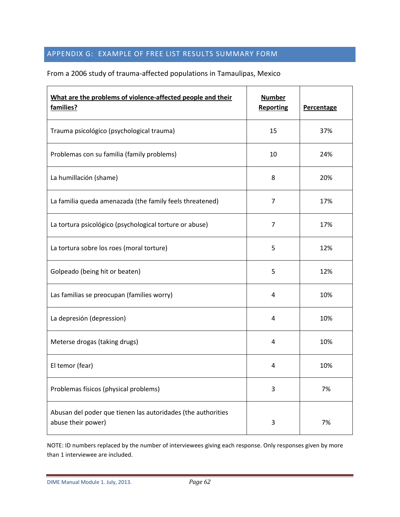# <span id="page-61-0"></span>APPENDIX G: EXAMPLE OF FREE LIST RESULTS SUMMARY FORM

# From a 2006 study of trauma-affected populations in Tamaulipas, Mexico

| What are the problems of violence-affected people and their<br>families?           | <b>Number</b><br><b>Reporting</b> | <b>Percentage</b> |
|------------------------------------------------------------------------------------|-----------------------------------|-------------------|
| Trauma psicológico (psychological trauma)                                          | 15                                | 37%               |
| Problemas con su familia (family problems)                                         | 10                                | 24%               |
| La humillación (shame)                                                             | 8                                 | 20%               |
| La familia queda amenazada (the family feels threatened)                           | $\overline{7}$                    | 17%               |
| La tortura psicológico (psychological torture or abuse)                            | $\overline{7}$                    | 17%               |
| La tortura sobre los roes (moral torture)                                          | 5                                 | 12%               |
| Golpeado (being hit or beaten)                                                     | 5                                 | 12%               |
| Las familias se preocupan (families worry)                                         | 4                                 | 10%               |
| La depresión (depression)                                                          | 4                                 | 10%               |
| Meterse drogas (taking drugs)                                                      | 4                                 | 10%               |
| El temor (fear)                                                                    | 4                                 | 10%               |
| Problemas físicos (physical problems)                                              | 3                                 | 7%                |
| Abusan del poder que tienen las autoridades (the authorities<br>abuse their power) | 3                                 | 7%                |

NOTE: ID numbers replaced by the number of interviewees giving each response. Only responses given by more than 1 interviewee are included.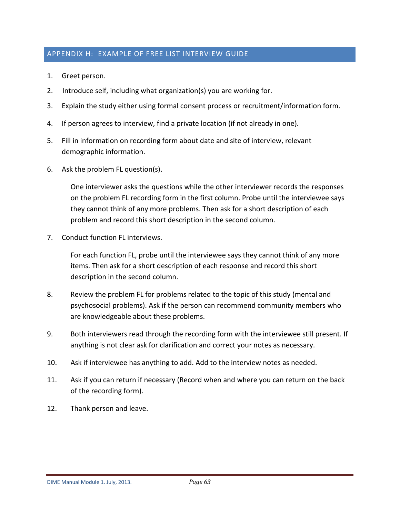# <span id="page-62-0"></span>APPENDIX H: EXAMPLE OF FREE LIST INTERVIEW GUIDE

- 1. Greet person.
- 2. Introduce self, including what organization(s) you are working for.
- 3. Explain the study either using formal consent process or recruitment/information form.
- 4. If person agrees to interview, find a private location (if not already in one).
- 5. Fill in information on recording form about date and site of interview, relevant demographic information.
- 6. Ask the problem FL question(s).

One interviewer asks the questions while the other interviewer records the responses on the problem FL recording form in the first column. Probe until the interviewee says they cannot think of any more problems. Then ask for a short description of each problem and record this short description in the second column.

7. Conduct function FL interviews.

For each function FL, probe until the interviewee says they cannot think of any more items. Then ask for a short description of each response and record this short description in the second column.

- 8. Review the problem FL for problems related to the topic of this study (mental and psychosocial problems). Ask if the person can recommend community members who are knowledgeable about these problems.
- 9. Both interviewers read through the recording form with the interviewee still present. If anything is not clear ask for clarification and correct your notes as necessary.
- 10. Ask if interviewee has anything to add. Add to the interview notes as needed.
- 11. Ask if you can return if necessary (Record when and where you can return on the back of the recording form).
- 12. Thank person and leave.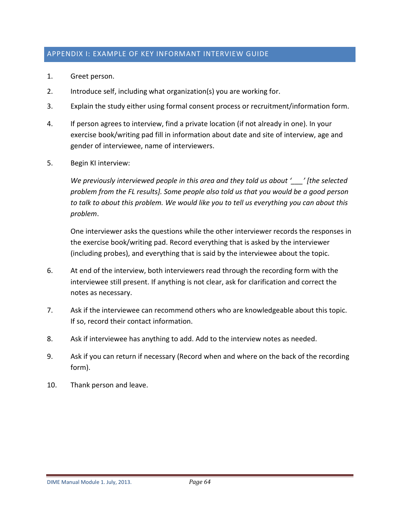## <span id="page-63-0"></span>APPENDIX I: EXAMPLE OF KEY INFORMANT INTERVIEW GUIDE

- 1. Greet person.
- 2. Introduce self, including what organization(s) you are working for.
- 3. Explain the study either using formal consent process or recruitment/information form.
- 4. If person agrees to interview, find a private location (if not already in one). In your exercise book/writing pad fill in information about date and site of interview, age and gender of interviewee, name of interviewers.
- 5. Begin KI interview:

*We previously interviewed people in this area and they told us about '\_\_\_' [the selected problem from the FL results]. Some people also told us that you would be a good person to talk to about this problem. We would like you to tell us everything you can about this problem*.

One interviewer asks the questions while the other interviewer records the responses in the exercise book/writing pad. Record everything that is asked by the interviewer (including probes), and everything that is said by the interviewee about the topic.

- 6. At end of the interview, both interviewers read through the recording form with the interviewee still present. If anything is not clear, ask for clarification and correct the notes as necessary.
- 7. Ask if the interviewee can recommend others who are knowledgeable about this topic. If so, record their contact information.
- 8. Ask if interviewee has anything to add. Add to the interview notes as needed.
- 9. Ask if you can return if necessary (Record when and where on the back of the recording form).
- 10. Thank person and leave.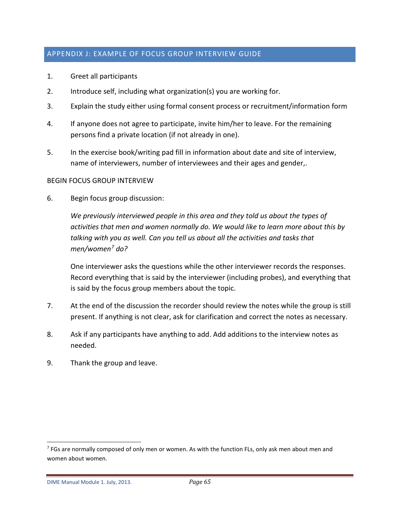## <span id="page-64-0"></span>APPENDIX J: EXAMPLE OF FOCUS GROUP INTERVIEW GUIDE

- 1. Greet all participants
- 2. Introduce self, including what organization(s) you are working for.
- 3. Explain the study either using formal consent process or recruitment/information form
- 4. If anyone does not agree to participate, invite him/her to leave. For the remaining persons find a private location (if not already in one).
- 5. In the exercise book/writing pad fill in information about date and site of interview, name of interviewers, number of interviewees and their ages and gender,.

### BEGIN FOCUS GROUP INTERVIEW

6. Begin focus group discussion:

*We previously interviewed people in this area and they told us about the types of activities that men and women normally do. We would like to learn more about this by talking with you as well. Can you tell us about all the activities and tasks that men/women[7](#page-64-1) do?*

One interviewer asks the questions while the other interviewer records the responses. Record everything that is said by the interviewer (including probes), and everything that is said by the focus group members about the topic.

- 7. At the end of the discussion the recorder should review the notes while the group is still present. If anything is not clear, ask for clarification and correct the notes as necessary.
- 8. Ask if any participants have anything to add. Add additions to the interview notes as needed.
- 9. Thank the group and leave.

<span id="page-64-1"></span> $<sup>7</sup>$  FGs are normally composed of only men or women. As with the function FLs, only ask men about men and</sup> women about women.